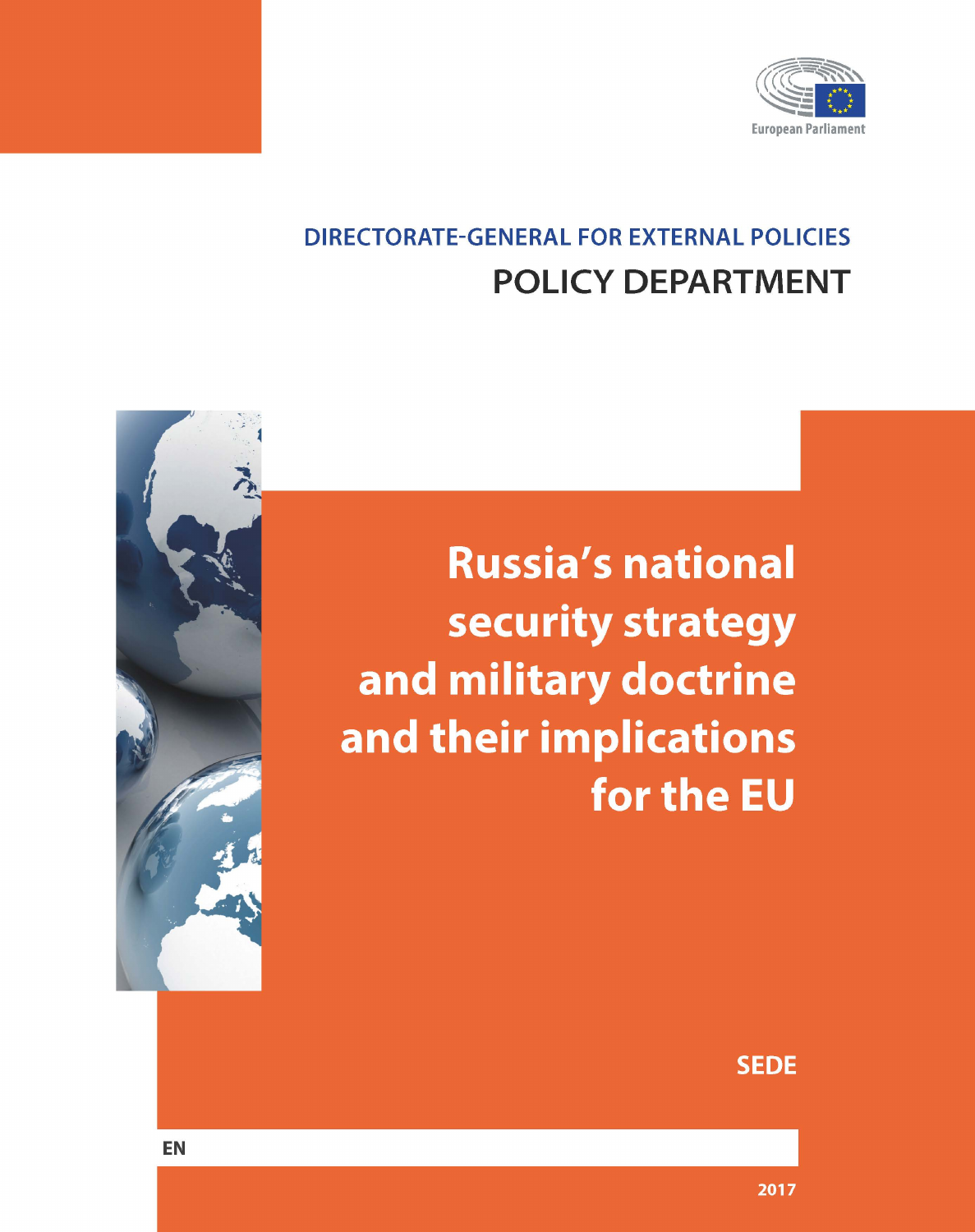

# **DIRECTORATE-GENERAL FOR EXTERNAL POLICIES POLICY DEPARTMENT**

**Russia's national** security strategy and military doctrine and their implications for the EU



**SEDE** 

**EN**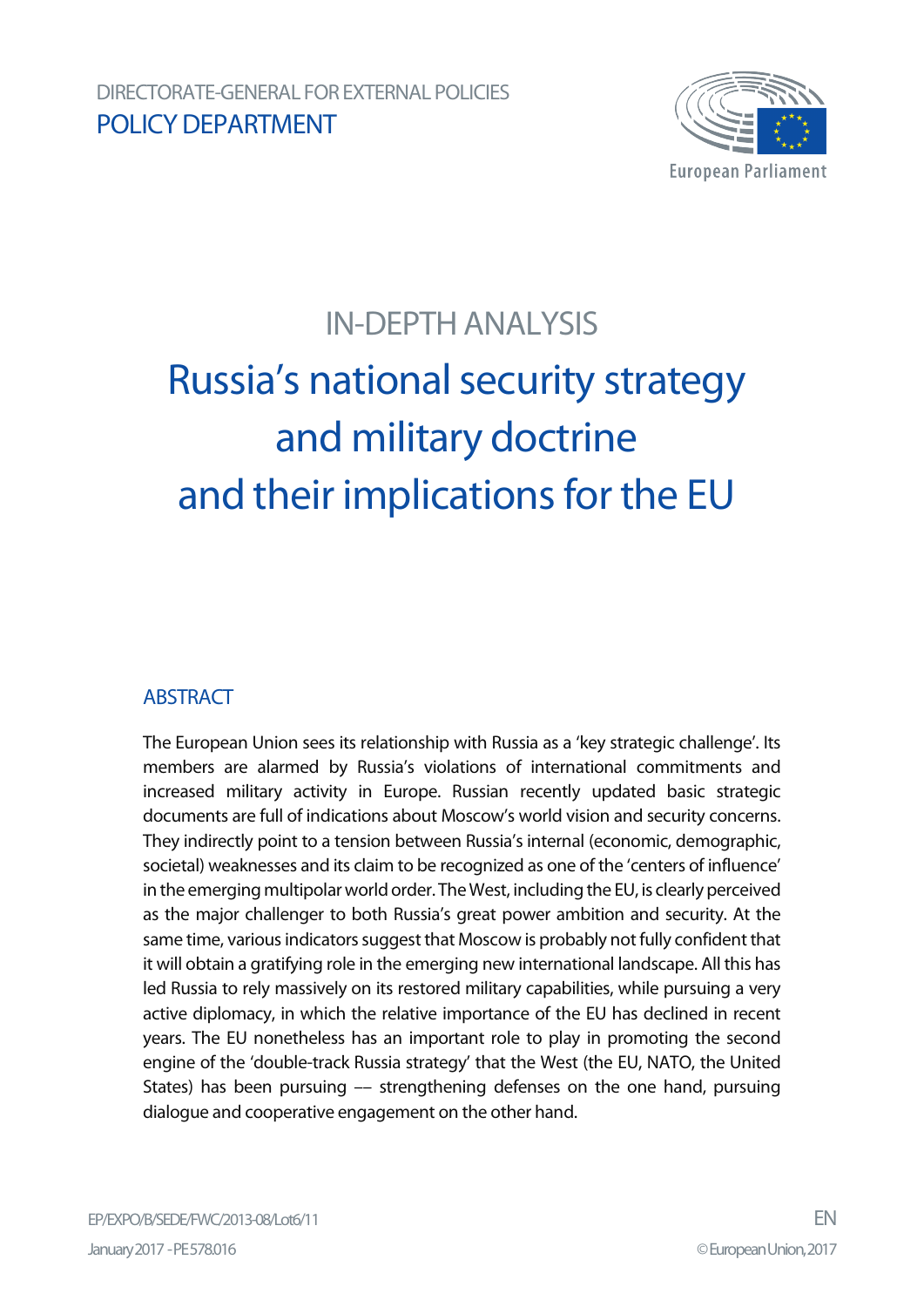

# IN-DEPTH ANALYSIS

# Russia's national security strategy and military doctrine and their implications for the EU

#### **ABSTRACT**

The European Union sees its relationship with Russia as a 'key strategic challenge'. Its members are alarmed by Russia's violations of international commitments and increased military activity in Europe. Russian recently updated basic strategic documents are full of indications about Moscow's world vision and security concerns. They indirectly point to a tension between Russia's internal (economic, demographic, societal) weaknesses and its claim to be recognized as one of the 'centers of influence' in the emerging multipolar world order. The West, including the EU, is clearly perceived as the major challenger to both Russia's great power ambition and security. At the same time, various indicators suggest that Moscow is probably not fully confident that it will obtain a gratifying role in the emerging new international landscape. All this has led Russia to rely massively on its restored military capabilities, while pursuing a very active diplomacy, in which the relative importance of the EU has declined in recent years. The EU nonetheless has an important role to play in promoting the second engine of the 'double-track Russia strategy' that the West (the EU, NATO, the United States) has been pursuing –– strengthening defenses on the one hand, pursuing dialogue and cooperative engagement on the other hand.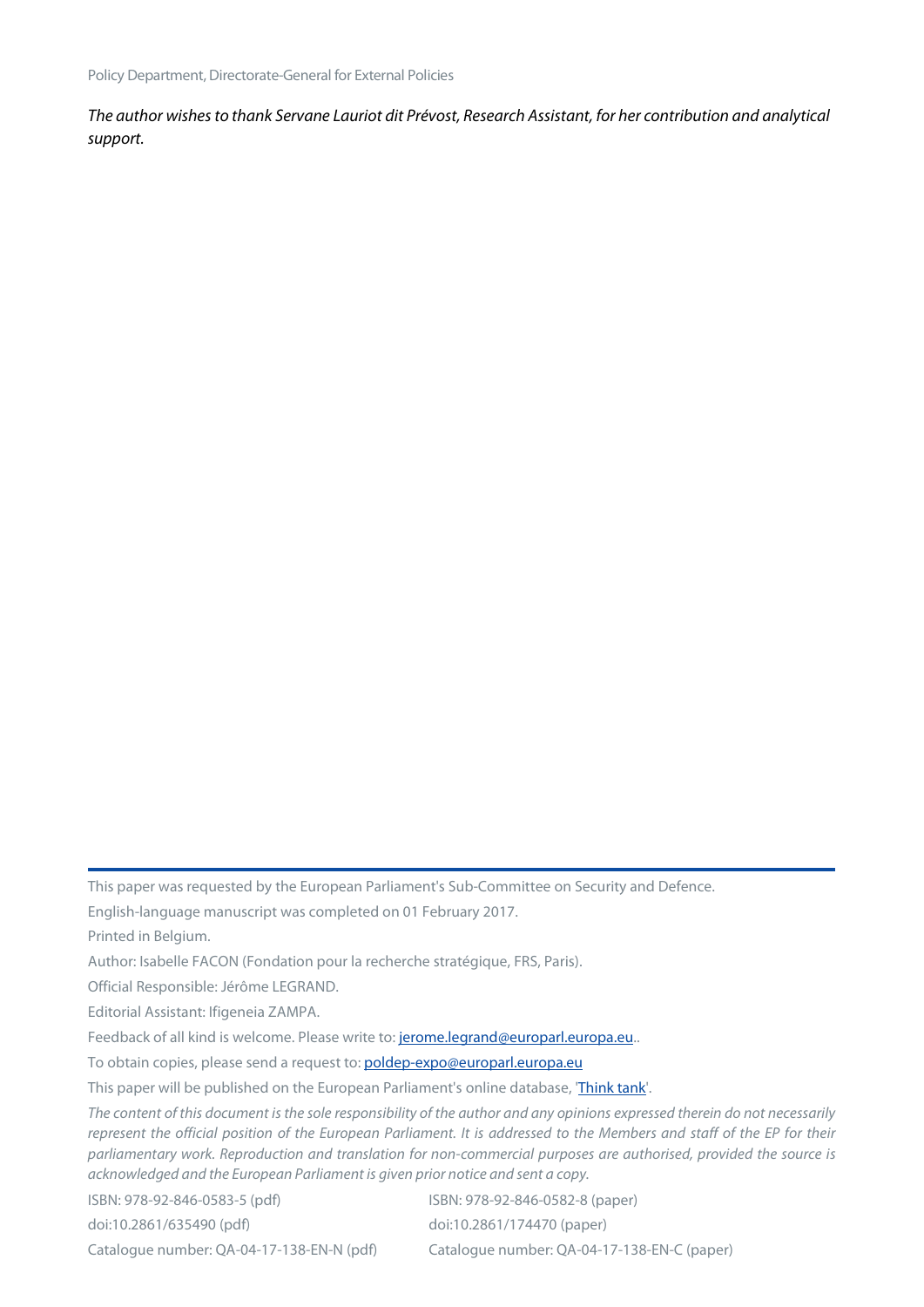*The author wishes to thank Servane Lauriot dit Prévost, Research Assistant, for her contribution and analytical support.*

This paper was requested by the European Parliament's Sub-Committee on Security and Defence.

English-language manuscript was completed on 01 February 2017.

Printed in Belgium.

Author: Isabelle FACON (Fondation pour la recherche stratégique, FRS, Paris).

Official Responsible: Jérôme LEGRAND.

Editorial Assistant: Ifigeneia ZAMPA.

Feedback of all kind is welcome. Please write to: [jerome.legrand@europarl.europa.eu..](mailto:jerome.legrand@europarl.europa.eu)

To obtain copies, please send a request to: [poldep-expo@europarl.europa.eu](mailto:poldep-expo@europarl.europa.eu) 

This paper will be published on the European Parliament's online database, ['Think tank'](http://www.europarl.europa.eu/thinktank/en/home.html).

*The content of this document is the sole responsibility of the author and any opinions expressed therein do not necessarily represent the official position of the European Parliament. It is addressed to the Members and staff of the EP for their parliamentary work. Reproduction and translation for non-commercial purposes are authorised, provided the source is acknowledged and the European Parliament is given prior notice and sent a copy.*

| ISBN: 978-92-846-0583-5 (pdf)             | ISBN: 978-92-846-0582-8 (paper)             |
|-------------------------------------------|---------------------------------------------|
| doi:10.2861/635490 (pdf)                  | doi:10.2861/174470 (paper)                  |
| Catalogue number: QA-04-17-138-EN-N (pdf) | Catalogue number: QA-04-17-138-EN-C (paper) |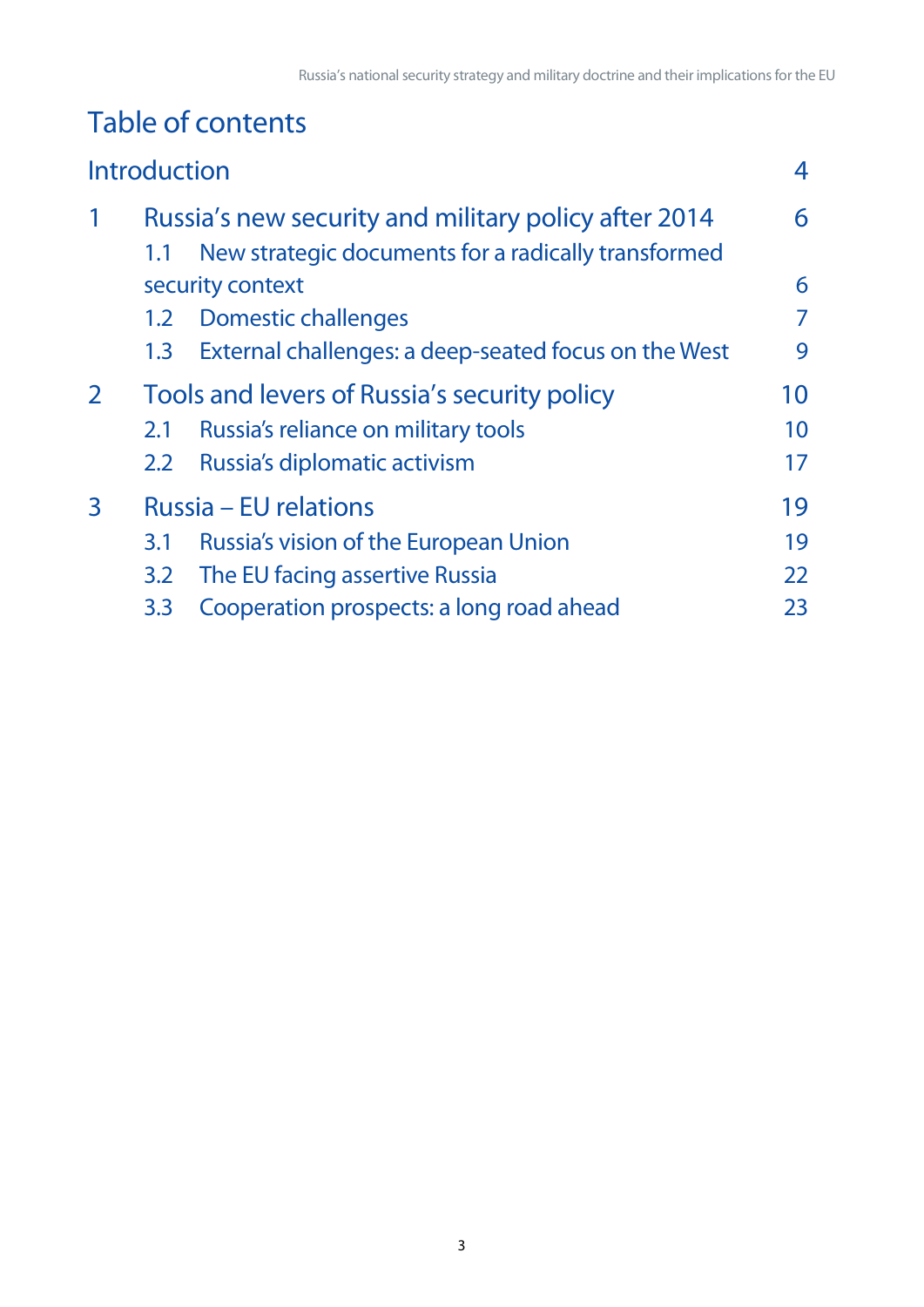# Table of contents

|   | <b>Introduction</b> |                                                                         | 4  |
|---|---------------------|-------------------------------------------------------------------------|----|
| 1 |                     | Russia's new security and military policy after 2014                    | 6  |
|   | 1.1                 | New strategic documents for a radically transformed<br>security context | 6  |
|   | 1.2                 | <b>Domestic challenges</b>                                              | 7  |
|   | 1.3                 | External challenges: a deep-seated focus on the West                    | 9  |
| 2 |                     | Tools and levers of Russia's security policy                            | 10 |
|   | 2.1                 | Russia's reliance on military tools                                     | 10 |
|   | 2.2                 | Russia's diplomatic activism                                            | 17 |
| 3 |                     | Russia – EU relations                                                   | 19 |
|   | 3.1                 | Russia's vision of the European Union                                   | 19 |
|   | 3.2                 | The EU facing assertive Russia                                          | 22 |
|   | 3.3                 | Cooperation prospects: a long road ahead                                | 23 |
|   |                     |                                                                         |    |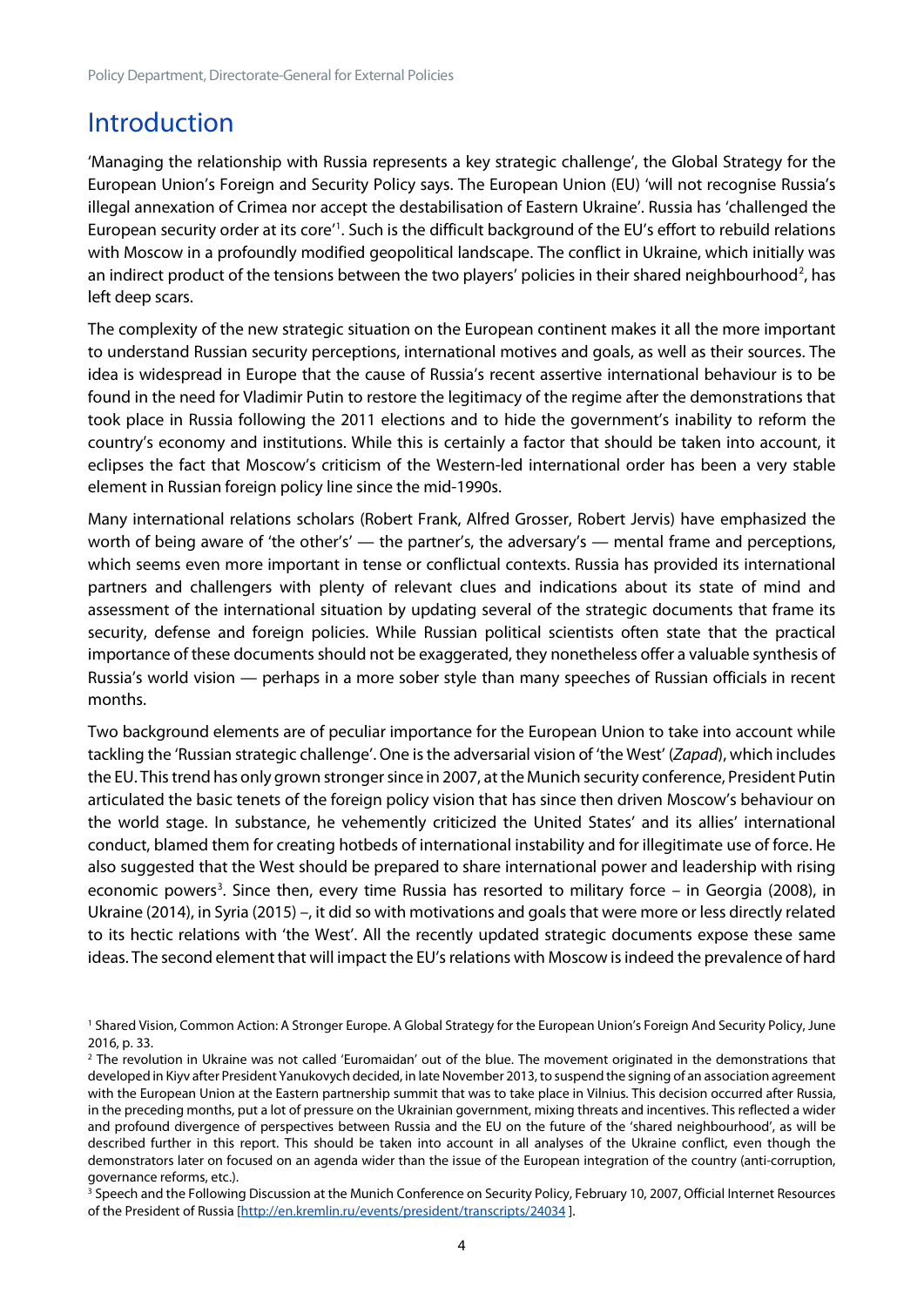## <span id="page-4-0"></span>**Introduction**

'Managing the relationship with Russia represents a key strategic challenge', the Global Strategy for the European Union's Foreign and Security Policy says. The European Union (EU) 'will not recognise Russia's illegal annexation of Crimea nor accept the destabilisation of Eastern Ukraine'. Russia has 'challenged the European security order at its core<sup>[1](#page-4-1)</sup>. Such is the difficult background of the EU's effort to rebuild relations with Moscow in a profoundly modified geopolitical landscape. The conflict in Ukraine, which initially was an indirect product of the tensions between the two players' policies in their shared neighbourhood<sup>[2](#page-4-2)</sup>, has left deep scars.

The complexity of the new strategic situation on the European continent makes it all the more important to understand Russian security perceptions, international motives and goals, as well as their sources. The idea is widespread in Europe that the cause of Russia's recent assertive international behaviour is to be found in the need for Vladimir Putin to restore the legitimacy of the regime after the demonstrations that took place in Russia following the 2011 elections and to hide the government's inability to reform the country's economy and institutions. While this is certainly a factor that should be taken into account, it eclipses the fact that Moscow's criticism of the Western-led international order has been a very stable element in Russian foreign policy line since the mid-1990s.

Many international relations scholars (Robert Frank, Alfred Grosser, Robert Jervis) have emphasized the worth of being aware of 'the other's' — the partner's, the adversary's — mental frame and perceptions, which seems even more important in tense or conflictual contexts. Russia has provided its international partners and challengers with plenty of relevant clues and indications about its state of mind and assessment of the international situation by updating several of the strategic documents that frame its security, defense and foreign policies. While Russian political scientists often state that the practical importance of these documents should not be exaggerated, they nonetheless offer a valuable synthesis of Russia's world vision — perhaps in a more sober style than many speeches of Russian officials in recent months.

Two background elements are of peculiar importance for the European Union to take into account while tackling the 'Russian strategic challenge'. One is the adversarial vision of 'the West' (*Zapad*), which includes the EU. This trend has only grown stronger since in 2007, at the Munich security conference, President Putin articulated the basic tenets of the foreign policy vision that has since then driven Moscow's behaviour on the world stage. In substance, he vehemently criticized the United States' and its allies' international conduct, blamed them for creating hotbeds of international instability and for illegitimate use of force. He also suggested that the West should be prepared to share international power and leadership with rising economic powers<sup>[3](#page-4-3)</sup>. Since then, every time Russia has resorted to military force  $-$  in Georgia (2008), in Ukraine (2014), in Syria (2015) –, it did so with motivations and goals that were more or less directly related to its hectic relations with 'the West'. All the recently updated strategic documents expose these same ideas. The second element that will impact the EU's relations with Moscow is indeed the prevalence of hard

<span id="page-4-1"></span><sup>1</sup> Shared Vision, Common Action: A Stronger Europe. A Global Strategy for the European Union's Foreign And Security Policy, June 2016, p. 33.

<span id="page-4-2"></span><sup>&</sup>lt;sup>2</sup> The revolution in Ukraine was not called 'Euromaidan' out of the blue. The movement originated in the demonstrations that developed in Kiyv after President Yanukovych decided, in late November 2013, to suspend the signing of an association agreement with the European Union at the Eastern partnership summit that was to take place in Vilnius. This decision occurred after Russia, in the preceding months, put a lot of pressure on the Ukrainian government, mixing threats and incentives. This reflected a wider and profound divergence of perspectives between Russia and the EU on the future of the 'shared neighbourhood', as will be described further in this report. This should be taken into account in all analyses of the Ukraine conflict, even though the demonstrators later on focused on an agenda wider than the issue of the European integration of the country (anti-corruption, governance reforms, etc.).

<span id="page-4-3"></span><sup>&</sup>lt;sup>3</sup> Speech and the Following Discussion at the Munich Conference on Security Policy, February 10, 2007, Official Internet Resources of the President of Russia [\[http://en.kremlin.ru/events/president/transcripts/24034](http://en.kremlin.ru/events/president/transcripts/24034) ].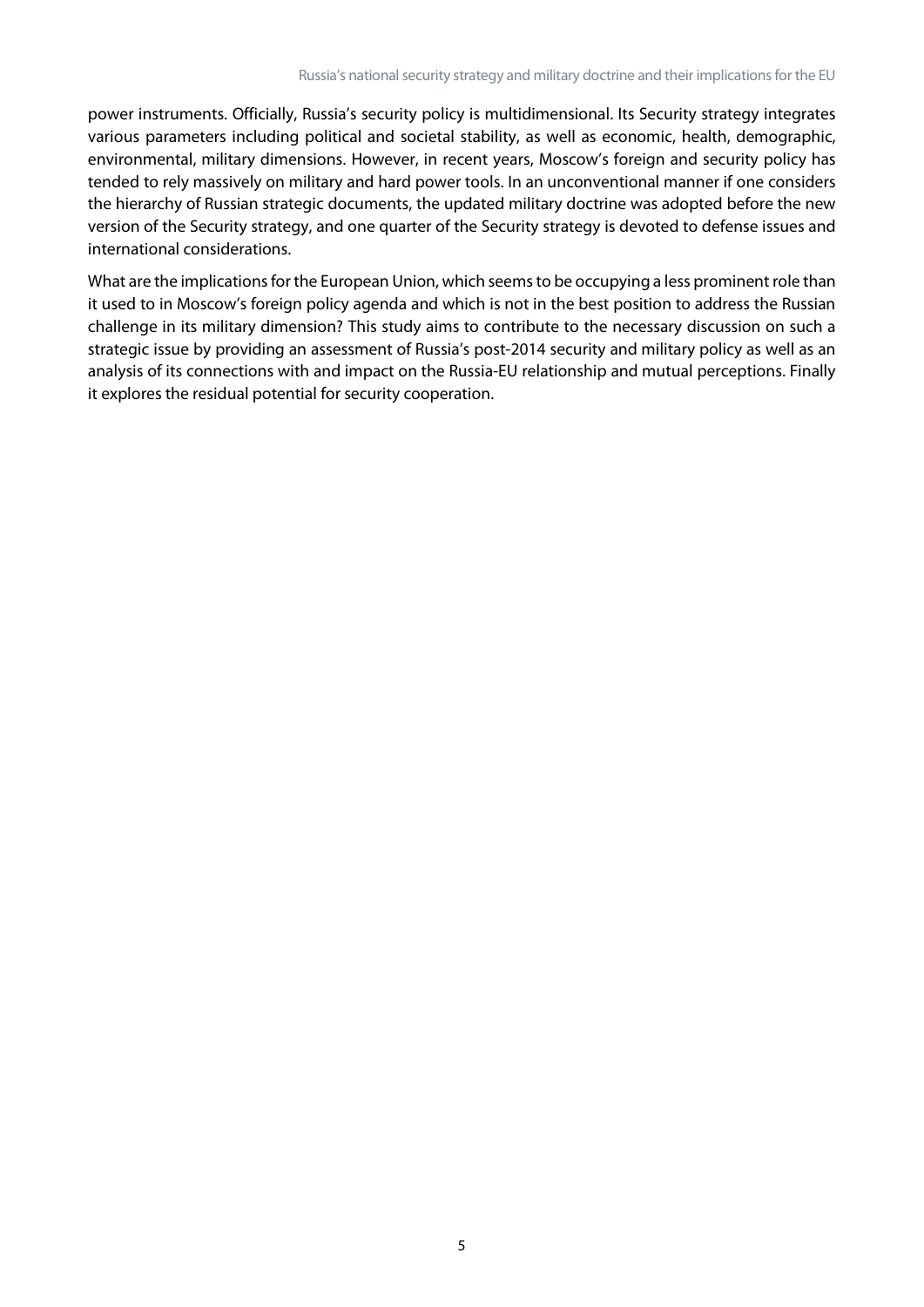power instruments. Officially, Russia's security policy is multidimensional. Its Security strategy integrates various parameters including political and societal stability, as well as economic, health, demographic, environmental, military dimensions. However, in recent years, Moscow's foreign and security policy has tended to rely massively on military and hard power tools. In an unconventional manner if one considers the hierarchy of Russian strategic documents, the updated military doctrine was adopted before the new version of the Security strategy, and one quarter of the Security strategy is devoted to defense issues and international considerations.

What are the implications for the European Union, which seems to be occupying a less prominent role than it used to in Moscow's foreign policy agenda and which is not in the best position to address the Russian challenge in its military dimension? This study aims to contribute to the necessary discussion on such a strategic issue by providing an assessment of Russia's post-2014 security and military policy as well as an analysis of its connections with and impact on the Russia-EU relationship and mutual perceptions. Finally it explores the residual potential for security cooperation.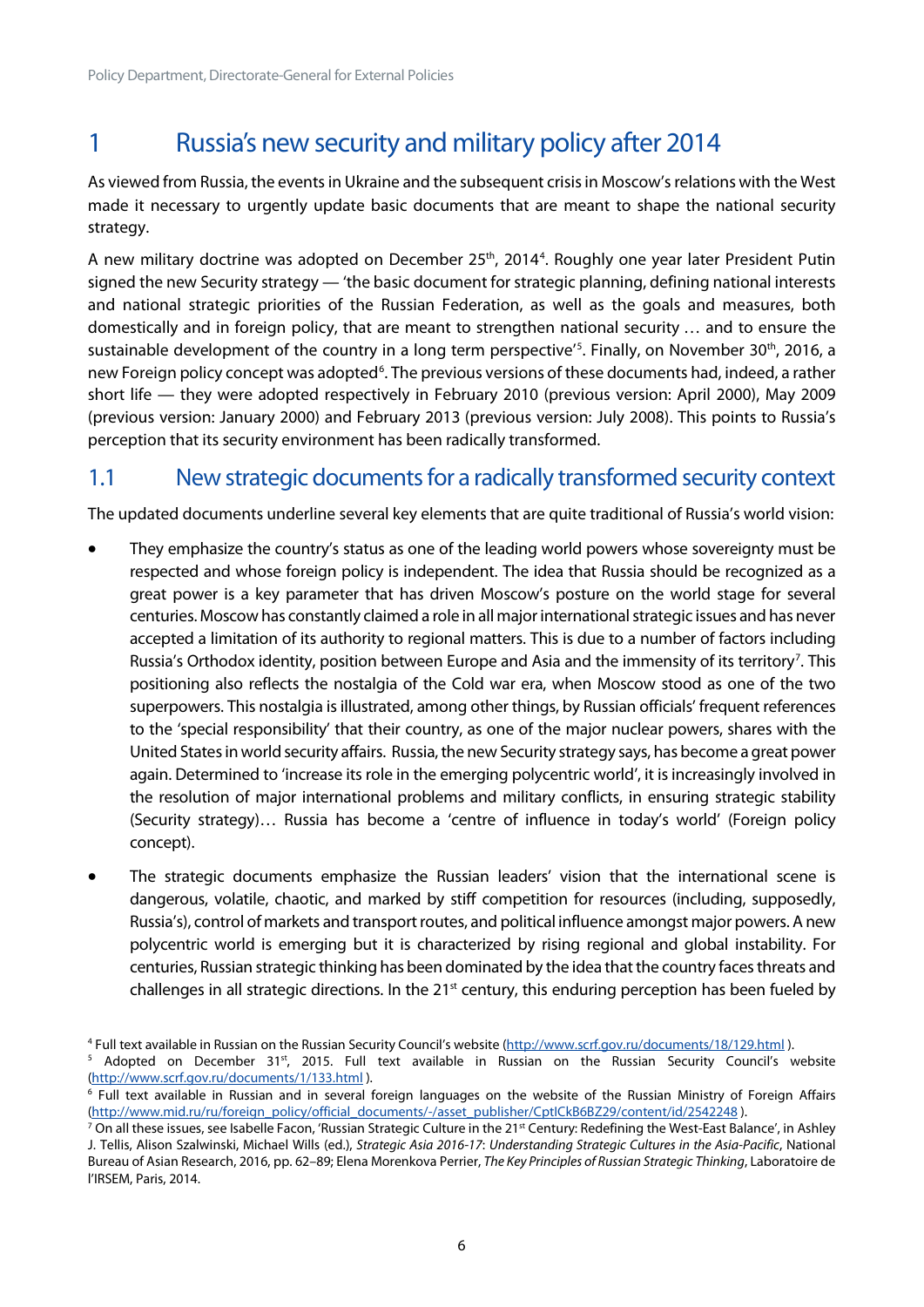# <span id="page-6-0"></span>1 Russia's new security and military policy after 2014

As viewed from Russia, the events in Ukraine and the subsequent crisis in Moscow's relations with the West made it necessary to urgently update basic documents that are meant to shape the national security strategy.

A new military doctrine was adopted on December 25<sup>th</sup>, 201[4](#page-6-2)<sup>4</sup>. Roughly one year later President Putin signed the new Security strategy — 'the basic document for strategic planning, defining national interests and national strategic priorities of the Russian Federation, as well as the goals and measures, both domestically and in foreign policy, that are meant to strengthen national security … and to ensure the sustainable development of the country in a long term perspective'<sup>[5](#page-6-3)</sup>. Finally, on November 30<sup>th</sup>, 2016, a new Foreign policy concept was adopted<sup>[6](#page-6-4)</sup>. The previous versions of these documents had, indeed, a rather short life — they were adopted respectively in February 2010 (previous version: April 2000), May 2009 (previous version: January 2000) and February 2013 (previous version: July 2008). This points to Russia's perception that its security environment has been radically transformed.

#### <span id="page-6-1"></span>1.1 New strategic documents for a radically transformed security context

The updated documents underline several key elements that are quite traditional of Russia's world vision:

- They emphasize the country's status as one of the leading world powers whose sovereignty must be respected and whose foreign policy is independent. The idea that Russia should be recognized as a great power is a key parameter that has driven Moscow's posture on the world stage for several centuries. Moscow has constantly claimed a role in all major international strategic issues and has never accepted a limitation of its authority to regional matters. This is due to a number of factors including Russia's Orthodox identity, position between Europe and Asia and the immensity of its territory<sup>[7](#page-6-5)</sup>. This positioning also reflects the nostalgia of the Cold war era, when Moscow stood as one of the two superpowers. This nostalgia is illustrated, among other things, by Russian officials' frequent references to the 'special responsibility' that their country, as one of the major nuclear powers, shares with the United States in world security affairs. Russia, the new Security strategy says, has become a great power again. Determined to 'increase its role in the emerging polycentric world', it is increasingly involved in the resolution of major international problems and military conflicts, in ensuring strategic stability (Security strategy)… Russia has become a 'centre of influence in today's world' (Foreign policy concept).
- The strategic documents emphasize the Russian leaders' vision that the international scene is dangerous, volatile, chaotic, and marked by stiff competition for resources (including, supposedly, Russia's), control of markets and transport routes, and political influence amongst major powers. A new polycentric world is emerging but it is characterized by rising regional and global instability. For centuries, Russian strategic thinking has been dominated by the idea that the country faces threats and challenges in all strategic directions. In the 21<sup>st</sup> century, this enduring perception has been fueled by

<span id="page-6-2"></span><sup>4</sup> Full text available in Russian on the Russian Security Council's website [\(http://www.scrf.gov.ru/documents/18/129.html](http://www.scrf.gov.ru/documents/18/129.html)).

<span id="page-6-3"></span><sup>&</sup>lt;sup>5</sup> Adopted on December 31<sup>st</sup>, 2015. Full text available in Russian on the Russian Security Council's website [\(http://www.scrf.gov.ru/documents/1/133.html](http://www.scrf.gov.ru/documents/1/133.html) ).

<span id="page-6-4"></span><sup>6</sup> Full text available in Russian and in several foreign languages on the website of the Russian Ministry of Foreign Affairs [\(http://www.mid.ru/ru/foreign\\_policy/official\\_documents/-/asset\\_publisher/CptICkB6BZ29/content/id/2542248](http://www.mid.ru/ru/foreign_policy/official_documents/-/asset_publisher/CptICkB6BZ29/content/id/2542248) ).

<span id="page-6-5"></span><sup>&</sup>lt;sup>7</sup> On all these issues, see Isabelle Facon, 'Russian Strategic Culture in the 21<sup>st</sup> Century: Redefining the West-East Balance', in Ashley J. Tellis, Alison Szalwinski, Michael Wills (ed.), *Strategic Asia 2016-17*: *Understanding Strategic Cultures in the Asia-Pacific*, National Bureau of Asian Research, 2016, pp. 62–89; Elena Morenkova Perrier, *The Key Principles of Russian Strategic Thinking*, Laboratoire de l'IRSEM, Paris, 2014.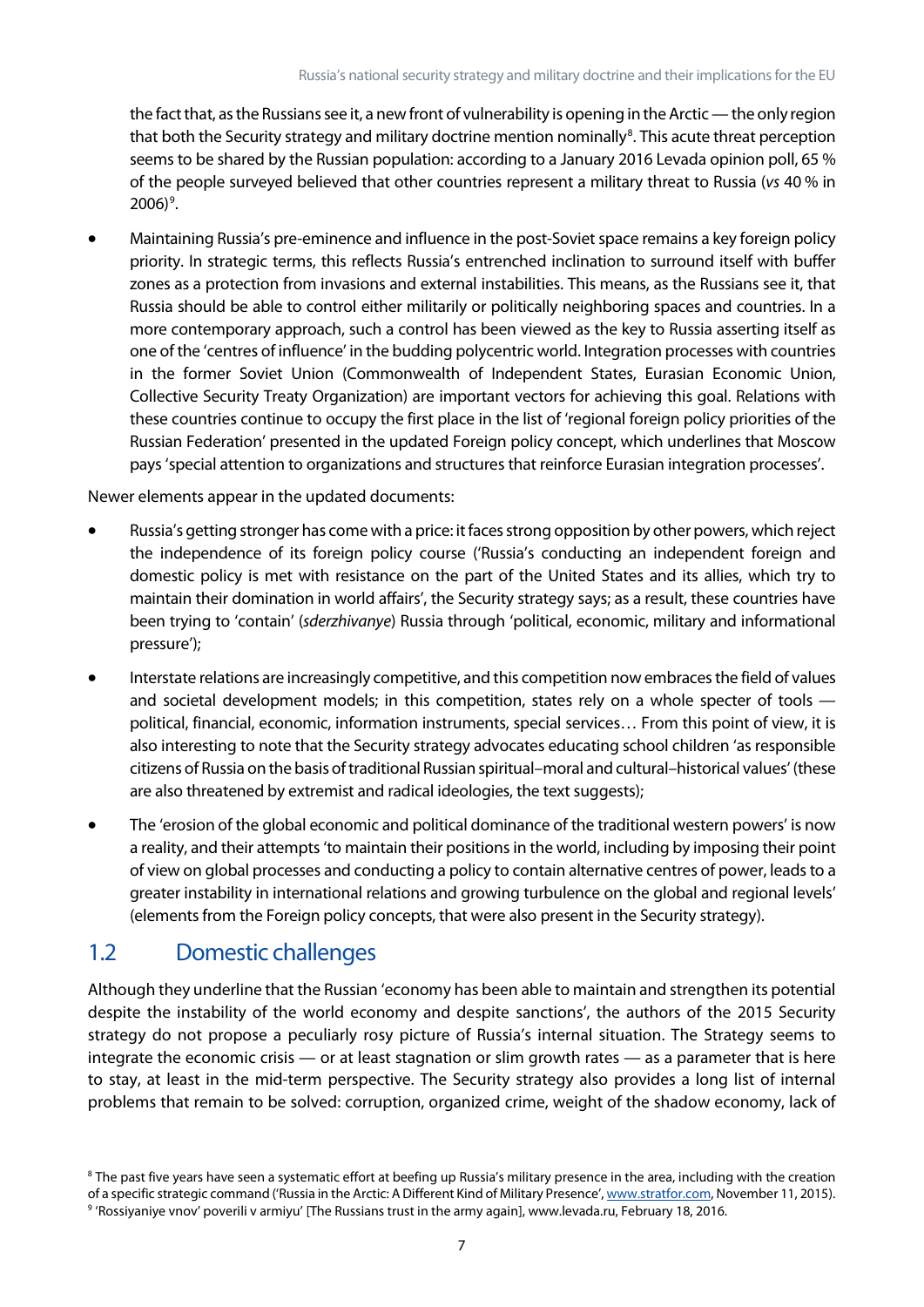the fact that, as the Russians see it, a new front of vulnerability is opening in the Arctic — the only region that both the Security strategy and military doctrine mention nominally<sup>8</sup>. This acute threat perception seems to be shared by the Russian population: according to a January 2016 Levada opinion poll, 65 % of the people surveyed believed that other countries represent a military threat to Russia (*vs* 40 % in  $2006$ <sup>[9](#page-7-2)</sup>.

• Maintaining Russia's pre-eminence and influence in the post-Soviet space remains a key foreign policy priority. In strategic terms, this reflects Russia's entrenched inclination to surround itself with buffer zones as a protection from invasions and external instabilities. This means, as the Russians see it, that Russia should be able to control either militarily or politically neighboring spaces and countries. In a more contemporary approach, such a control has been viewed as the key to Russia asserting itself as one of the 'centres of influence' in the budding polycentric world. Integration processes with countries in the former Soviet Union (Commonwealth of Independent States, Eurasian Economic Union, Collective Security Treaty Organization) are important vectors for achieving this goal. Relations with these countries continue to occupy the first place in the list of 'regional foreign policy priorities of the Russian Federation' presented in the updated Foreign policy concept, which underlines that Moscow pays 'special attention to organizations and structures that reinforce Eurasian integration processes'.

Newer elements appear in the updated documents:

- Russia's getting stronger has come with a price: it faces strong opposition by other powers, which reject the independence of its foreign policy course ('Russia's conducting an independent foreign and domestic policy is met with resistance on the part of the United States and its allies, which try to maintain their domination in world affairs', the Security strategy says; as a result, these countries have been trying to 'contain' (*sderzhivanye*) Russia through 'political, economic, military and informational pressure');
- Interstate relations are increasingly competitive, and this competition now embraces the field of values and societal development models; in this competition, states rely on a whole specter of tools political, financial, economic, information instruments, special services… From this point of view, it is also interesting to note that the Security strategy advocates educating school children 'as responsible citizens of Russia on the basis of traditional Russian spiritual–moral and cultural–historical values' (these are also threatened by extremist and radical ideologies, the text suggests);
- The 'erosion of the global economic and political dominance of the traditional western powers' is now a reality, and their attempts 'to maintain their positions in the world, including by imposing their point of view on global processes and conducting a policy to contain alternative centres of power, leads to a greater instability in international relations and growing turbulence on the global and regional levels' (elements from the Foreign policy concepts, that were also present in the Security strategy).

#### <span id="page-7-0"></span>1.2 Domestic challenges

Although they underline that the Russian 'economy has been able to maintain and strengthen its potential despite the instability of the world economy and despite sanctions', the authors of the 2015 Security strategy do not propose a peculiarly rosy picture of Russia's internal situation. The Strategy seems to integrate the economic crisis — or at least stagnation or slim growth rates — as a parameter that is here to stay, at least in the mid-term perspective. The Security strategy also provides a long list of internal problems that remain to be solved: corruption, organized crime, weight of the shadow economy, lack of

<span id="page-7-2"></span><span id="page-7-1"></span><sup>&</sup>lt;sup>8</sup> The past five years have seen a systematic effort at beefing up Russia's military presence in the area, including with the creation of a specific strategic command ('Russia in the Arctic: A Different Kind of Military Presence', [www.stratfor.com,](http://www.stratfor.com/) November 11, 2015). <sup>9</sup> 'Rossiyaniye vnov' poverili v armiyu' [The Russians trust in the army again], www.levada.ru, February 18, 2016.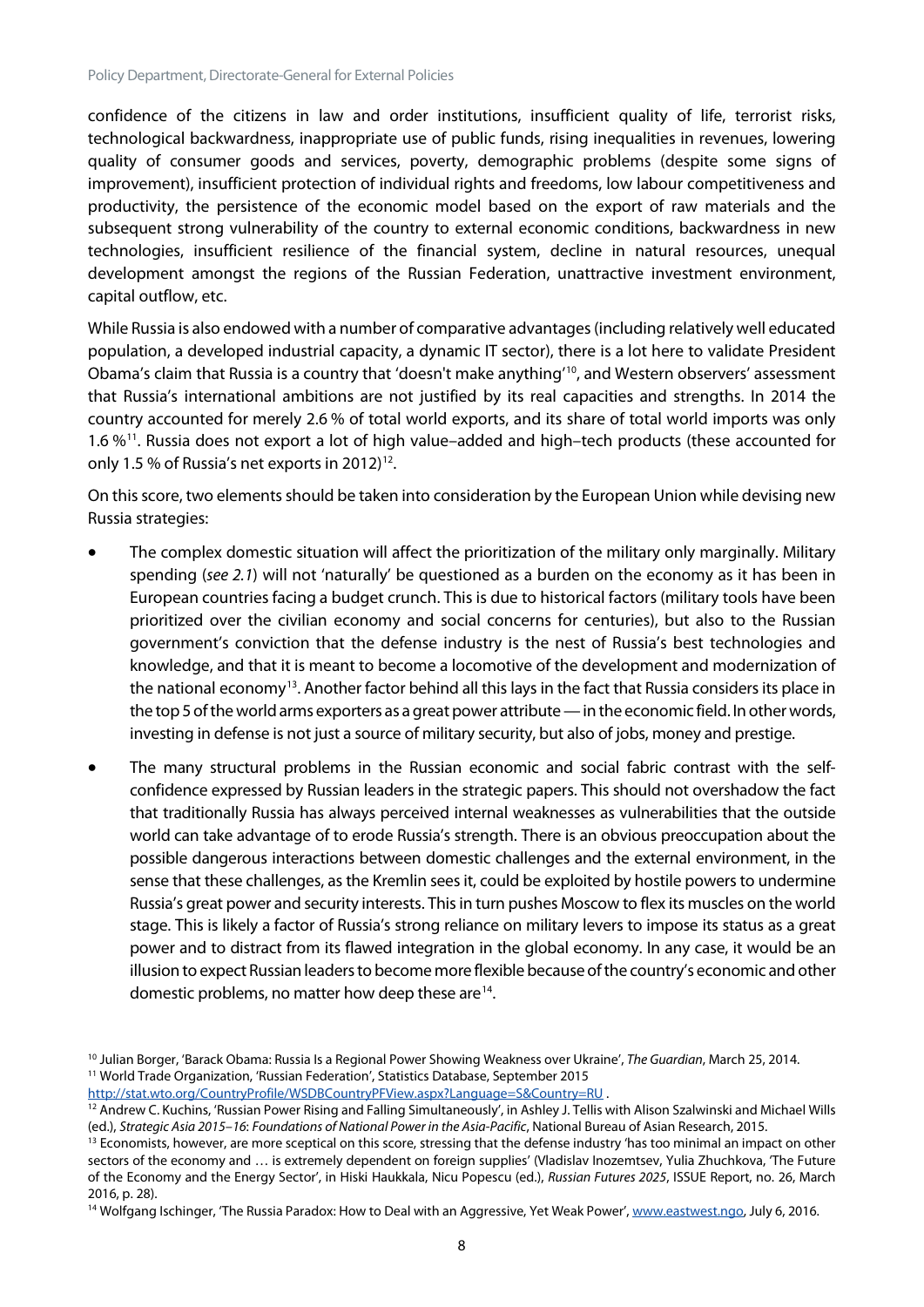confidence of the citizens in law and order institutions, insufficient quality of life, terrorist risks, technological backwardness, inappropriate use of public funds, rising inequalities in revenues, lowering quality of consumer goods and services, poverty, demographic problems (despite some signs of improvement), insufficient protection of individual rights and freedoms, low labour competitiveness and productivity, the persistence of the economic model based on the export of raw materials and the subsequent strong vulnerability of the country to external economic conditions, backwardness in new technologies, insufficient resilience of the financial system, decline in natural resources, unequal development amongst the regions of the Russian Federation, unattractive investment environment, capital outflow, etc.

While Russia is also endowed with a number of comparative advantages (including relatively well educated population, a developed industrial capacity, a dynamic IT sector), there is a lot here to validate President Obama's claim that Russia is a country that 'doesn't make anything' [10,](#page-8-0) and Western observers' assessment that Russia's international ambitions are not justified by its real capacities and strengths. In 2014 the country accounted for merely 2.6 % of total world exports, and its share of total world imports was only 1.6 %[11](#page-8-1). Russia does not export a lot of high value–added and high–tech products (these accounted for only 1.5 % of Russia's net exports in 20[12](#page-8-2))<sup>12</sup>.

On this score, two elements should be taken into consideration by the European Union while devising new Russia strategies:

- The complex domestic situation will affect the prioritization of the military only marginally. Military spending (*see 2.1*) will not 'naturally' be questioned as a burden on the economy as it has been in European countries facing a budget crunch. This is due to historical factors (military tools have been prioritized over the civilian economy and social concerns for centuries), but also to the Russian government's conviction that the defense industry is the nest of Russia's best technologies and knowledge, and that it is meant to become a locomotive of the development and modernization of the national economy<sup>13</sup>. Another factor behind all this lays in the fact that Russia considers its place in the top 5 of the world arms exporters as a great power attribute—in the economic field. In other words, investing in defense is not just a source of military security, but also of jobs, money and prestige.
- The many structural problems in the Russian economic and social fabric contrast with the selfconfidence expressed by Russian leaders in the strategic papers. This should not overshadow the fact that traditionally Russia has always perceived internal weaknesses as vulnerabilities that the outside world can take advantage of to erode Russia's strength. There is an obvious preoccupation about the possible dangerous interactions between domestic challenges and the external environment, in the sense that these challenges, as the Kremlin sees it, could be exploited by hostile powers to undermine Russia's great power and security interests. This in turn pushes Moscow to flex its muscles on the world stage. This is likely a factor of Russia's strong reliance on military levers to impose its status as a great power and to distract from its flawed integration in the global economy. In any case, it would be an illusion to expect Russian leaders to become more flexible because of the country's economic and other domestic problems, no matter how deep these are<sup>[14](#page-8-4)</sup>.

<span id="page-8-0"></span><sup>10</sup> Julian Borger, 'Barack Obama: Russia Is a Regional Power Showing Weakness over Ukraine', *The Guardian*, March 25, 2014. <sup>11</sup> World Trade Organization, 'Russian Federation', Statistics Database, September 2015

<span id="page-8-1"></span><http://stat.wto.org/CountryProfile/WSDBCountryPFView.aspx?Language=S&Country=RU> .

<span id="page-8-2"></span><sup>&</sup>lt;sup>12</sup> Andrew C. Kuchins, 'Russian Power Rising and Falling Simultaneously', in Ashley J. Tellis with Alison Szalwinski and Michael Wills (ed.), *Strategic Asia 2015–16*: *Foundations of National Power in the Asia-Pacific*, National Bureau of Asian Research, 2015.

<span id="page-8-3"></span><sup>&</sup>lt;sup>13</sup> Economists, however, are more sceptical on this score, stressing that the defense industry 'has too minimal an impact on other sectors of the economy and … is extremely dependent on foreign supplies' (Vladislav Inozemtsev, Yulia Zhuchkova, 'The Future of the Economy and the Energy Sector', in Hiski Haukkala, Nicu Popescu (ed.), *Russian Futures 2025*, ISSUE Report, no. 26, March 2016, p. 28).

<span id="page-8-4"></span><sup>&</sup>lt;sup>14</sup> Wolfgang Ischinger, 'The Russia Paradox: How to Deal with an Aggressive, Yet Weak Power'[, www.eastwest.ngo,](http://www.eastwest.ngo/) July 6, 2016.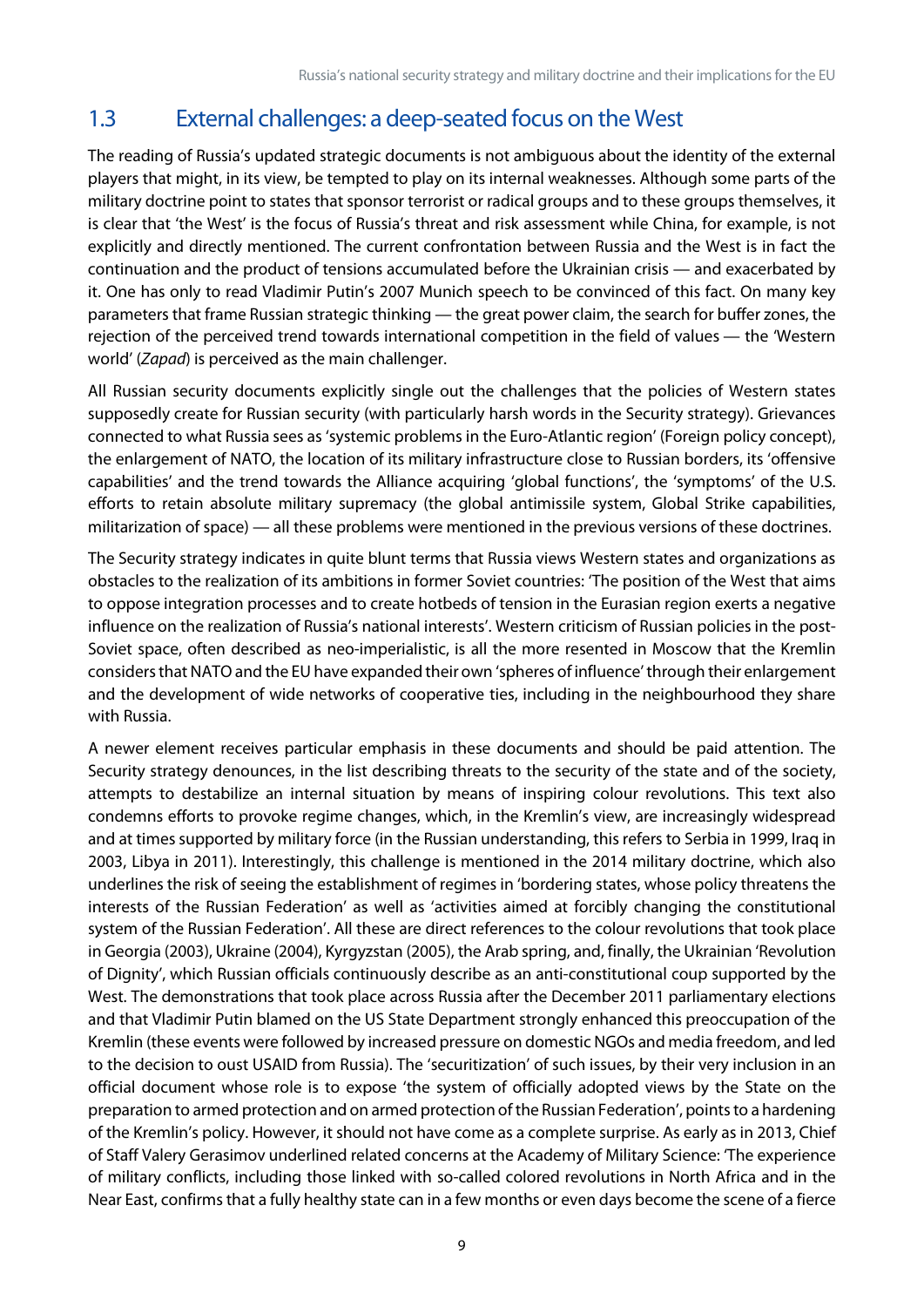### <span id="page-9-0"></span>1.3 External challenges: a deep-seated focus on the West

The reading of Russia's updated strategic documents is not ambiguous about the identity of the external players that might, in its view, be tempted to play on its internal weaknesses. Although some parts of the military doctrine point to states that sponsor terrorist or radical groups and to these groups themselves, it is clear that 'the West' is the focus of Russia's threat and risk assessment while China, for example, is not explicitly and directly mentioned. The current confrontation between Russia and the West is in fact the continuation and the product of tensions accumulated before the Ukrainian crisis — and exacerbated by it. One has only to read Vladimir Putin's 2007 Munich speech to be convinced of this fact. On many key parameters that frame Russian strategic thinking — the great power claim, the search for buffer zones, the rejection of the perceived trend towards international competition in the field of values — the 'Western world' (*Zapad*) is perceived as the main challenger.

All Russian security documents explicitly single out the challenges that the policies of Western states supposedly create for Russian security (with particularly harsh words in the Security strategy). Grievances connected to what Russia sees as 'systemic problems in the Euro-Atlantic region' (Foreign policy concept), the enlargement of NATO, the location of its military infrastructure close to Russian borders, its 'offensive capabilities' and the trend towards the Alliance acquiring 'global functions', the 'symptoms' of the U.S. efforts to retain absolute military supremacy (the global antimissile system, Global Strike capabilities, militarization of space) — all these problems were mentioned in the previous versions of these doctrines.

The Security strategy indicates in quite blunt terms that Russia views Western states and organizations as obstacles to the realization of its ambitions in former Soviet countries: 'The position of the West that aims to oppose integration processes and to create hotbeds of tension in the Eurasian region exerts a negative influence on the realization of Russia's national interests'. Western criticism of Russian policies in the post-Soviet space, often described as neo-imperialistic, is all the more resented in Moscow that the Kremlin considers that NATO and the EU have expanded their own 'spheres of influence'through their enlargement and the development of wide networks of cooperative ties, including in the neighbourhood they share with Russia.

A newer element receives particular emphasis in these documents and should be paid attention. The Security strategy denounces, in the list describing threats to the security of the state and of the society, attempts to destabilize an internal situation by means of inspiring colour revolutions. This text also condemns efforts to provoke regime changes, which, in the Kremlin's view, are increasingly widespread and at times supported by military force (in the Russian understanding, this refers to Serbia in 1999, Iraq in 2003, Libya in 2011). Interestingly, this challenge is mentioned in the 2014 military doctrine, which also underlines the risk of seeing the establishment of regimes in 'bordering states, whose policy threatens the interests of the Russian Federation' as well as 'activities aimed at forcibly changing the constitutional system of the Russian Federation'. All these are direct references to the colour revolutions that took place in Georgia (2003), Ukraine (2004), Kyrgyzstan (2005), the Arab spring, and, finally, the Ukrainian 'Revolution of Dignity', which Russian officials continuously describe as an anti-constitutional coup supported by the West. The demonstrations that took place across Russia after the December 2011 parliamentary elections and that Vladimir Putin blamed on the US State Department strongly enhanced this preoccupation of the Kremlin (these events were followed by increased pressure on domestic NGOs and media freedom, and led to the decision to oust USAID from Russia). The 'securitization' of such issues, by their very inclusion in an official document whose role is to expose 'the system of officially adopted views by the State on the preparation to armed protection and on armed protection of the Russian Federation', points to a hardening of the Kremlin's policy. However, it should not have come as a complete surprise. As early as in 2013, Chief of Staff Valery Gerasimov underlined related concerns at the Academy of Military Science: 'The experience of military conflicts, including those linked with so-called colored revolutions in North Africa and in the Near East, confirms that a fully healthy state can in a few months or even days become the scene of a fierce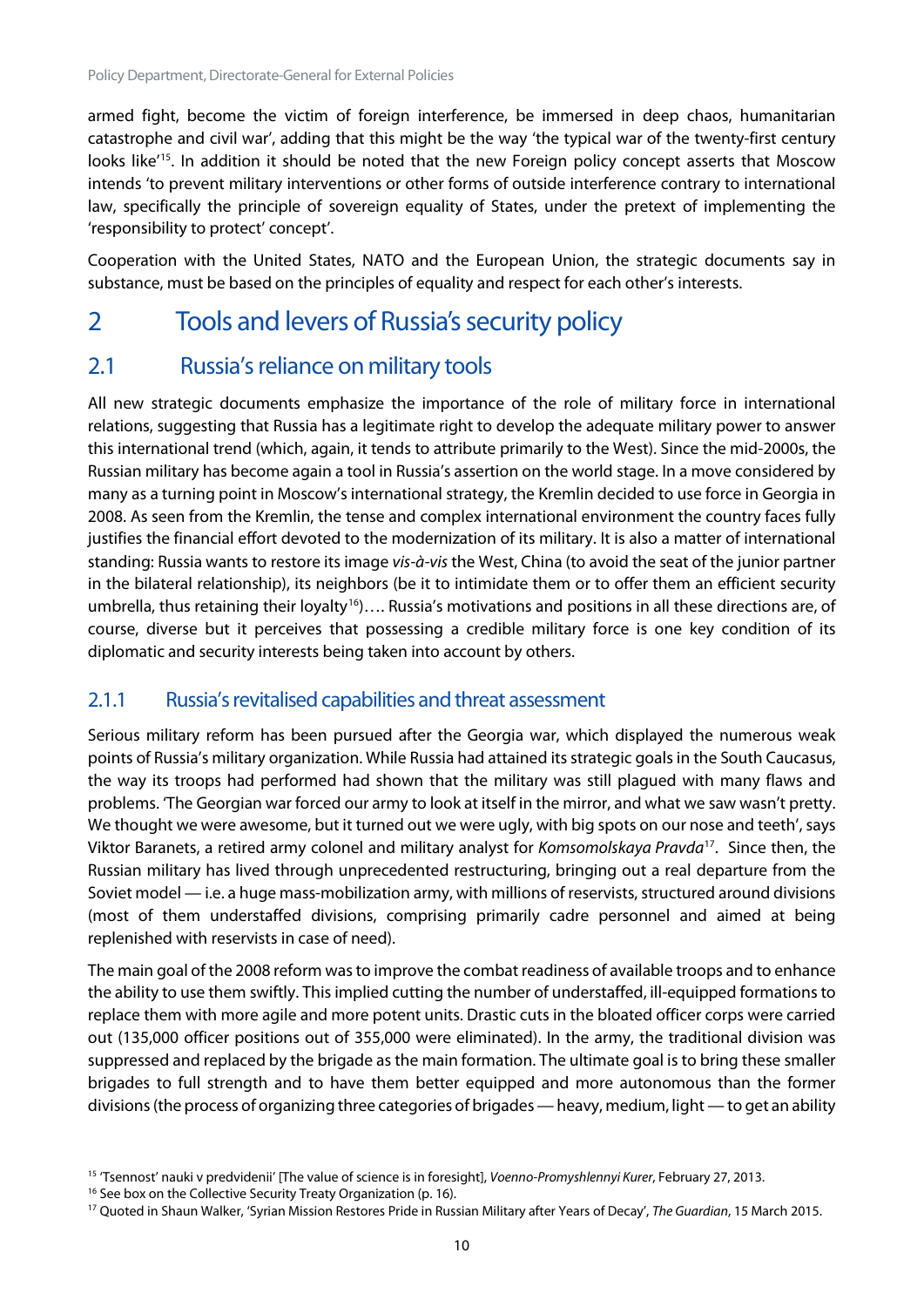armed fight, become the victim of foreign interference, be immersed in deep chaos, humanitarian catastrophe and civil war', adding that this might be the way 'the typical war of the twenty-first century looks like<sup>'[15](#page-10-2)</sup>. In addition it should be noted that the new Foreign policy concept asserts that Moscow intends 'to prevent military interventions or other forms of outside interference contrary to international law, specifically the principle of sovereign equality of States, under the pretext of implementing the 'responsibility to protect' concept'.

Cooperation with the United States, NATO and the European Union, the strategic documents say in substance, must be based on the principles of equality and respect for each other's interests.

## <span id="page-10-0"></span>2 Tools and levers of Russia's security policy

#### <span id="page-10-1"></span>2.1 Russia's reliance on military tools

All new strategic documents emphasize the importance of the role of military force in international relations, suggesting that Russia has a legitimate right to develop the adequate military power to answer this international trend (which, again, it tends to attribute primarily to the West). Since the mid-2000s, the Russian military has become again a tool in Russia's assertion on the world stage. In a move considered by many as a turning point in Moscow's international strategy, the Kremlin decided to use force in Georgia in 2008. As seen from the Kremlin, the tense and complex international environment the country faces fully justifies the financial effort devoted to the modernization of its military. It is also a matter of international standing: Russia wants to restore its image *vis-à-vis* the West, China (to avoid the seat of the junior partner in the bilateral relationship), its neighbors (be it to intimidate them or to offer them an efficient security umbrella, thus retaining their loyalty<sup>[16](#page-10-3)</sup>)…. Russia's motivations and positions in all these directions are, of course, diverse but it perceives that possessing a credible military force is one key condition of its diplomatic and security interests being taken into account by others.

#### 2.1.1 Russia's revitalised capabilities and threat assessment

Serious military reform has been pursued after the Georgia war, which displayed the numerous weak points of Russia's military organization. While Russia had attained its strategic goals in the South Caucasus, the way its troops had performed had shown that the military was still plagued with many flaws and problems. 'The Georgian war forced our army to look at itself in the mirror, and what we saw wasn't pretty. We thought we were awesome, but it turned out we were ugly, with big spots on our nose and teeth', says Viktor Baranets, a retired army colonel and military analyst for *Komsomolskaya Pravda*[17.](#page-10-4) Since then, the Russian military has lived through unprecedented restructuring, bringing out a real departure from the Soviet model — i.e. a huge mass-mobilization army, with millions of reservists, structured around divisions (most of them understaffed divisions, comprising primarily cadre personnel and aimed at being replenished with reservists in case of need).

The main goal of the 2008 reform was to improve the combat readiness of available troops and to enhance the ability to use them swiftly. This implied cutting the number of understaffed, ill-equipped formations to replace them with more agile and more potent units. Drastic cuts in the bloated officer corps were carried out (135,000 officer positions out of 355,000 were eliminated). In the army, the traditional division was suppressed and replaced by the brigade as the main formation. The ultimate goal is to bring these smaller brigades to full strength and to have them better equipped and more autonomous than the former divisions (the process of organizing three categories of brigades — heavy, medium, light — to get an ability

<span id="page-10-2"></span><sup>15</sup> 'Tsennost' nauki v predvidenii' [The value of science is in foresight], *Voenno-Promyshlennyi Kurer*, February 27, 2013.

<span id="page-10-3"></span><sup>&</sup>lt;sup>16</sup> See box on the Collective Security Treaty Organization (p. 16).

<span id="page-10-4"></span><sup>17</sup> Quoted in Shaun Walker, 'Syrian Mission Restores Pride in Russian Military after Years of Decay', *The Guardian*, 15 March 2015.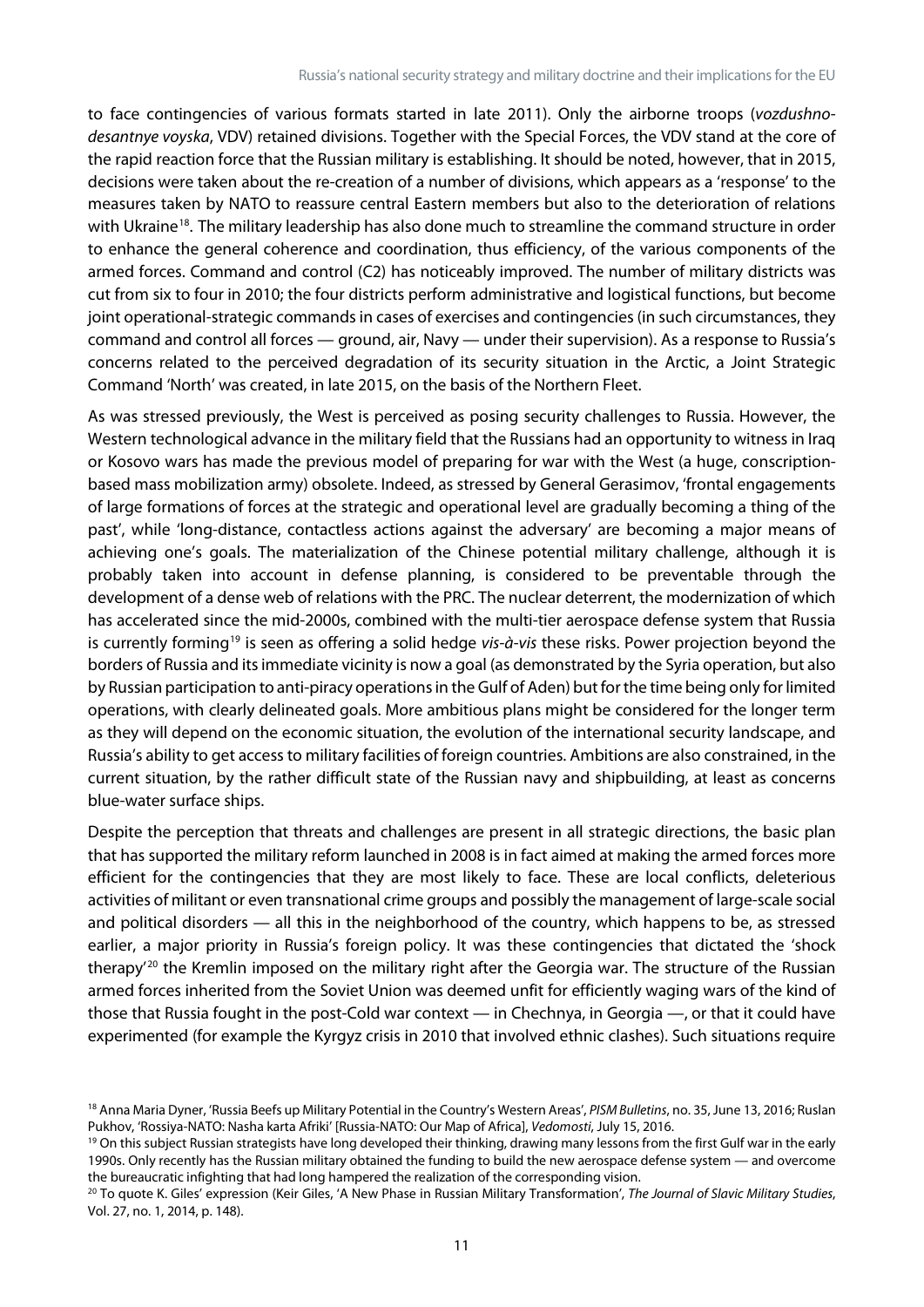to face contingencies of various formats started in late 2011). Only the airborne troops (*vozdushnodesantnye voyska*, VDV) retained divisions. Together with the Special Forces, the VDV stand at the core of the rapid reaction force that the Russian military is establishing. It should be noted, however, that in 2015, decisions were taken about the re-creation of a number of divisions, which appears as a 'response' to the measures taken by NATO to reassure central Eastern members but also to the deterioration of relations with Ukraine<sup>[18](#page-11-0)</sup>. The military leadership has also done much to streamline the command structure in order to enhance the general coherence and coordination, thus efficiency, of the various components of the armed forces. Command and control (C2) has noticeably improved. The number of military districts was cut from six to four in 2010; the four districts perform administrative and logistical functions, but become joint operational-strategic commands in cases of exercises and contingencies (in such circumstances, they command and control all forces — ground, air, Navy — under their supervision). As a response to Russia's concerns related to the perceived degradation of its security situation in the Arctic, a Joint Strategic Command 'North' was created, in late 2015, on the basis of the Northern Fleet.

As was stressed previously, the West is perceived as posing security challenges to Russia. However, the Western technological advance in the military field that the Russians had an opportunity to witness in Iraq or Kosovo wars has made the previous model of preparing for war with the West (a huge, conscriptionbased mass mobilization army) obsolete. Indeed, as stressed by General Gerasimov, 'frontal engagements of large formations of forces at the strategic and operational level are gradually becoming a thing of the past', while 'long-distance, contactless actions against the adversary' are becoming a major means of achieving one's goals. The materialization of the Chinese potential military challenge, although it is probably taken into account in defense planning, is considered to be preventable through the development of a dense web of relations with the PRC. The nuclear deterrent, the modernization of which has accelerated since the mid-2000s, combined with the multi-tier aerospace defense system that Russia is currently forming[19](#page-11-1) is seen as offering a solid hedge *vis-à-vis* these risks. Power projection beyond the borders of Russia and its immediate vicinity is now a goal (as demonstrated by the Syria operation, but also by Russian participation to anti-piracy operations in the Gulf of Aden) but for the time being only for limited operations, with clearly delineated goals. More ambitious plans might be considered for the longer term as they will depend on the economic situation, the evolution of the international security landscape, and Russia's ability to get access to military facilities of foreign countries. Ambitions are also constrained, in the current situation, by the rather difficult state of the Russian navy and shipbuilding, at least as concerns blue-water surface ships.

Despite the perception that threats and challenges are present in all strategic directions, the basic plan that has supported the military reform launched in 2008 is in fact aimed at making the armed forces more efficient for the contingencies that they are most likely to face. These are local conflicts, deleterious activities of militant or even transnational crime groups and possibly the management of large-scale social and political disorders — all this in the neighborhood of the country, which happens to be, as stressed earlier, a major priority in Russia's foreign policy. It was these contingencies that dictated the 'shock therapy<sup>'[20](#page-11-2)</sup> the Kremlin imposed on the military right after the Georgia war. The structure of the Russian armed forces inherited from the Soviet Union was deemed unfit for efficiently waging wars of the kind of those that Russia fought in the post-Cold war context — in Chechnya, in Georgia —, or that it could have experimented (for example the Kyrgyz crisis in 2010 that involved ethnic clashes). Such situations require

<span id="page-11-0"></span><sup>18</sup> Anna Maria Dyner, 'Russia Beefs up Military Potential in the Country's Western Areas', *PISM Bulletins*, no. 35, June 13, 2016; Ruslan Pukhov, 'Rossiya-NATO: Nasha karta Afriki' [Russia-NATO: Our Map of Africa], *Vedomosti*, July 15, 2016.

<span id="page-11-1"></span><sup>&</sup>lt;sup>19</sup> On this subject Russian strategists have long developed their thinking, drawing many lessons from the first Gulf war in the early 1990s. Only recently has the Russian military obtained the funding to build the new aerospace defense system — and overcome the bureaucratic infighting that had long hampered the realization of the corresponding vision.

<span id="page-11-2"></span><sup>20</sup> To quote K. Giles' expression (Keir Giles, 'A New Phase in Russian Military Transformation', *The Journal of Slavic Military Studies*, Vol. 27, no. 1, 2014, p. 148).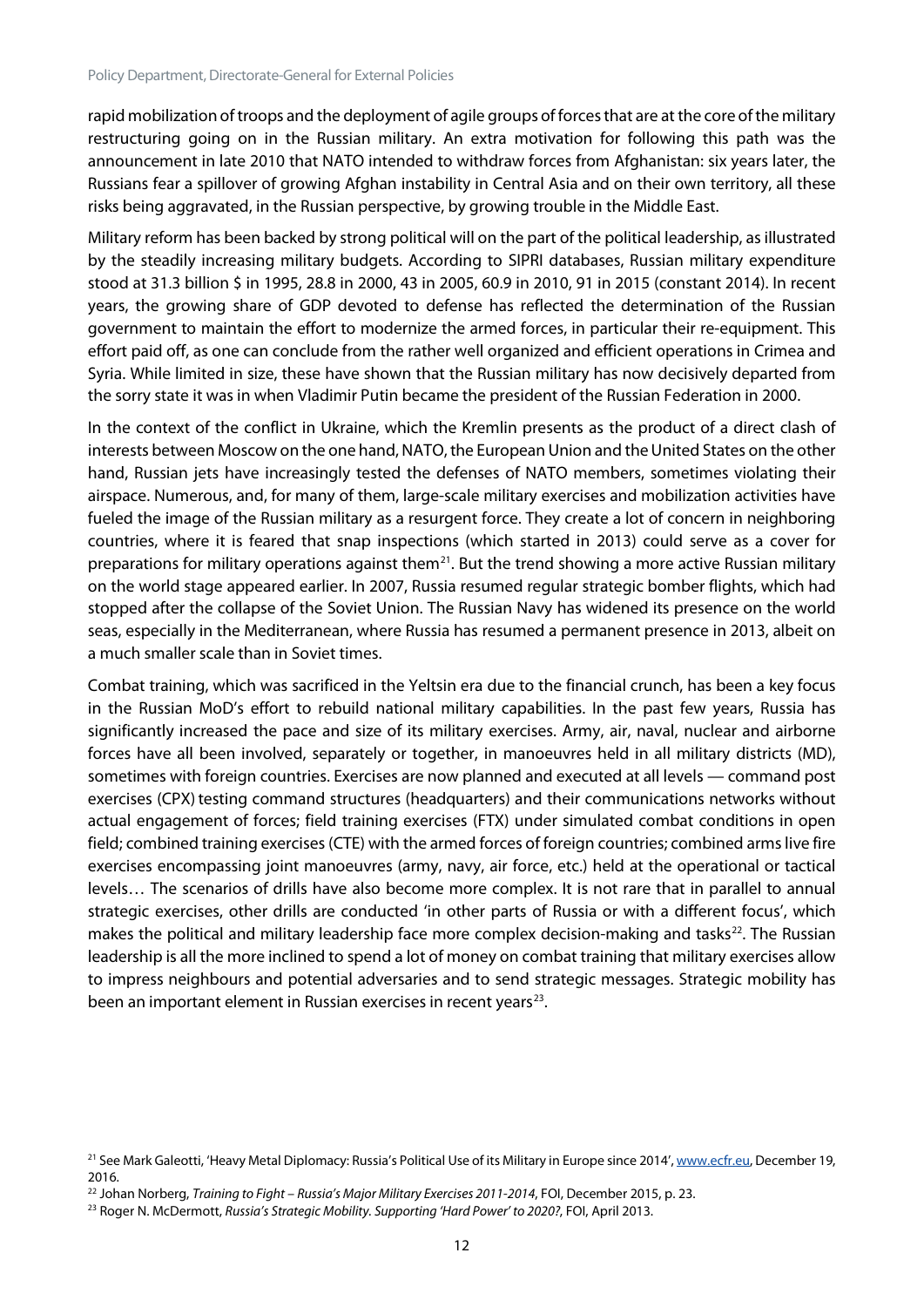rapid mobilization of troops and the deployment of agile groups of forces that are at the core of the military restructuring going on in the Russian military. An extra motivation for following this path was the announcement in late 2010 that NATO intended to withdraw forces from Afghanistan: six years later, the Russians fear a spillover of growing Afghan instability in Central Asia and on their own territory, all these risks being aggravated, in the Russian perspective, by growing trouble in the Middle East.

Military reform has been backed by strong political will on the part of the political leadership, as illustrated by the steadily increasing military budgets. According to SIPRI databases, Russian military expenditure stood at 31.3 billion \$ in 1995, 28.8 in 2000, 43 in 2005, 60.9 in 2010, 91 in 2015 (constant 2014). In recent years, the growing share of GDP devoted to defense has reflected the determination of the Russian government to maintain the effort to modernize the armed forces, in particular their re-equipment. This effort paid off, as one can conclude from the rather well organized and efficient operations in Crimea and Syria. While limited in size, these have shown that the Russian military has now decisively departed from the sorry state it was in when Vladimir Putin became the president of the Russian Federation in 2000.

In the context of the conflict in Ukraine, which the Kremlin presents as the product of a direct clash of interests between Moscow on the one hand, NATO, the European Union and the United States on the other hand, Russian jets have increasingly tested the defenses of NATO members, sometimes violating their airspace. Numerous, and, for many of them, large-scale military exercises and mobilization activities have fueled the image of the Russian military as a resurgent force. They create a lot of concern in neighboring countries, where it is feared that snap inspections (which started in 2013) could serve as a cover for preparations for military operations against them<sup>21</sup>. But the trend showing a more active Russian military on the world stage appeared earlier. In 2007, Russia resumed regular strategic bomber flights, which had stopped after the collapse of the Soviet Union. The Russian Navy has widened its presence on the world seas, especially in the Mediterranean, where Russia has resumed a permanent presence in 2013, albeit on a much smaller scale than in Soviet times.

Combat training, which was sacrificed in the Yeltsin era due to the financial crunch, has been a key focus in the Russian MoD's effort to rebuild national military capabilities. In the past few years, Russia has significantly increased the pace and size of its military exercises. Army, air, naval, nuclear and airborne forces have all been involved, separately or together, in manoeuvres held in all military districts (MD), sometimes with foreign countries. Exercises are now planned and executed at all levels — command post exercises (CPX) testing command structures (headquarters) and their communications networks without actual engagement of forces; field training exercises (FTX) under simulated combat conditions in open field; combined training exercises (CTE) with the armed forces of foreign countries; combined arms live fire exercises encompassing joint manoeuvres (army, navy, air force, etc.) held at the operational or tactical levels… The scenarios of drills have also become more complex. It is not rare that in parallel to annual strategic exercises, other drills are conducted 'in other parts of Russia or with a different focus', which makes the political and military leadership face more complex decision-making and tasks $22$ . The Russian leadership is all the more inclined to spend a lot of money on combat training that military exercises allow to impress neighbours and potential adversaries and to send strategic messages. Strategic mobility has been an important element in Russian exercises in recent years $^{23}$ .

<span id="page-12-0"></span><sup>&</sup>lt;sup>21</sup> See Mark Galeotti, 'Heavy Metal Diplomacy: Russia's Political Use of its Military in Europe since 2014'[, www.ecfr.eu,](http://www.ecfr.eu/) December 19, 2016.

<span id="page-12-1"></span><sup>22</sup> Johan Norberg, *Training to Fight – Russia's Major Military Exercises 2011-2014*, FOI, December 2015, p. 23.

<span id="page-12-2"></span><sup>23</sup> Roger N. McDermott, *Russia's Strategic Mobility. Supporting 'Hard Power' to 2020?*, FOI, April 2013.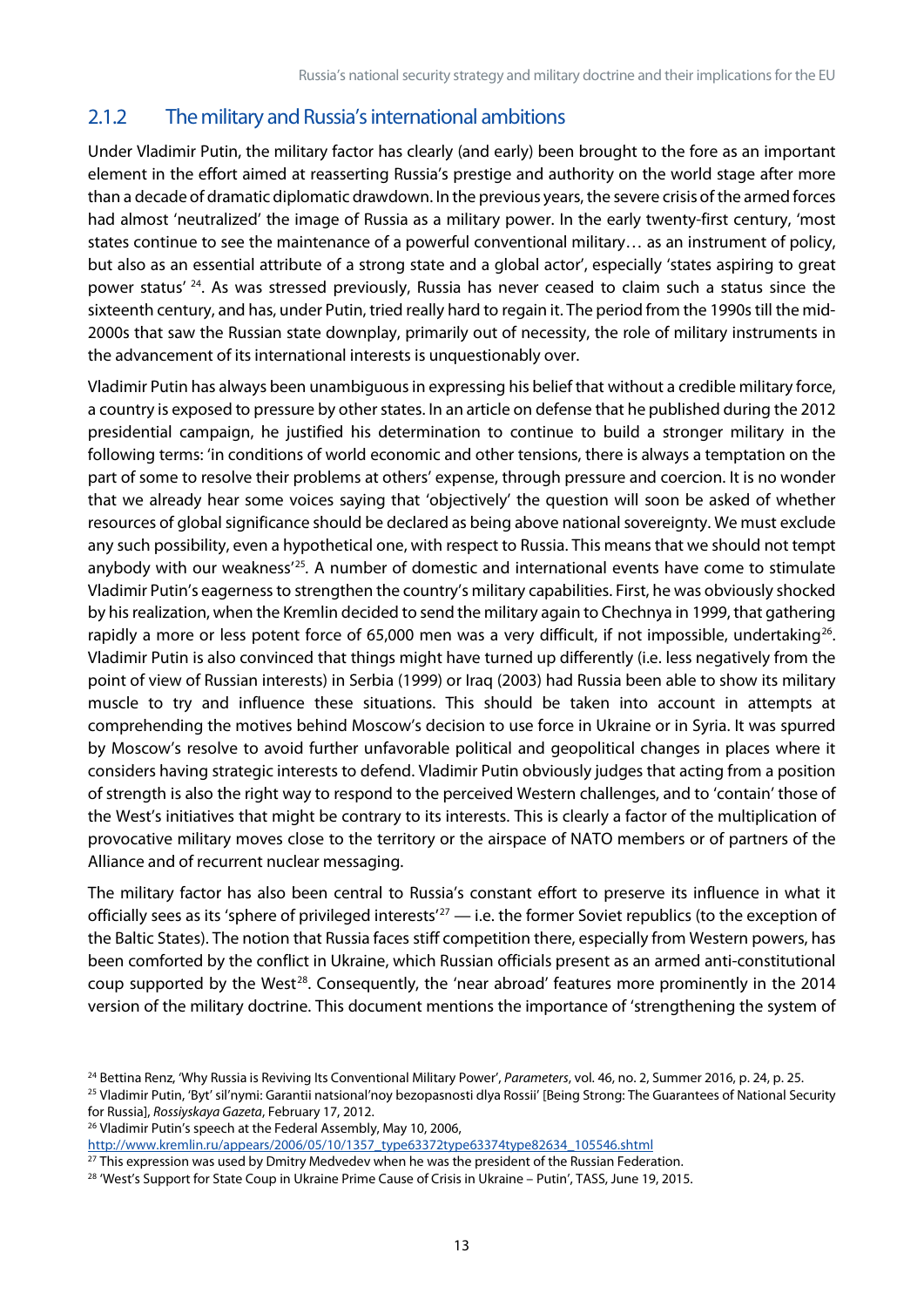#### 2.1.2 The military and Russia's international ambitions

Under Vladimir Putin, the military factor has clearly (and early) been brought to the fore as an important element in the effort aimed at reasserting Russia's prestige and authority on the world stage after more than a decade of dramatic diplomatic drawdown. In the previous years, the severe crisis of the armed forces had almost 'neutralized' the image of Russia as a military power. In the early twenty-first century, 'most states continue to see the maintenance of a powerful conventional military… as an instrument of policy, but also as an essential attribute of a strong state and a global actor', especially 'states aspiring to great power status' [24.](#page-13-0) As was stressed previously, Russia has never ceased to claim such a status since the sixteenth century, and has, under Putin, tried really hard to regain it. The period from the 1990s till the mid-2000s that saw the Russian state downplay, primarily out of necessity, the role of military instruments in the advancement of its international interests is unquestionably over.

Vladimir Putin has always been unambiguous in expressing his belief that without a credible military force, a country is exposed to pressure by other states. In an article on defense that he published during the 2012 presidential campaign, he justified his determination to continue to build a stronger military in the following terms: 'in conditions of world economic and other tensions, there is always a temptation on the part of some to resolve their problems at others' expense, through pressure and coercion. It is no wonder that we already hear some voices saying that 'objectively' the question will soon be asked of whether resources of global significance should be declared as being above national sovereignty. We must exclude any such possibility, even a hypothetical one, with respect to Russia. This means that we should not tempt anybody with our weakness' [25](#page-13-1)*.* A number of domestic and international events have come to stimulate Vladimir Putin's eagerness to strengthen the country's military capabilities. First, he was obviously shocked by his realization, when the Kremlin decided to send the military again to Chechnya in 1999, that gathering rapidly a more or less potent force of 65,000 men was a very difficult, if not impossible, undertaking<sup>[26](#page-13-2)</sup>. Vladimir Putin is also convinced that things might have turned up differently (i.e. less negatively from the point of view of Russian interests) in Serbia (1999) or Iraq (2003) had Russia been able to show its military muscle to try and influence these situations. This should be taken into account in attempts at comprehending the motives behind Moscow's decision to use force in Ukraine or in Syria. It was spurred by Moscow's resolve to avoid further unfavorable political and geopolitical changes in places where it considers having strategic interests to defend. Vladimir Putin obviously judges that acting from a position of strength is also the right way to respond to the perceived Western challenges, and to 'contain' those of the West's initiatives that might be contrary to its interests. This is clearly a factor of the multiplication of provocative military moves close to the territory or the airspace of NATO members or of partners of the Alliance and of recurrent nuclear messaging.

The military factor has also been central to Russia's constant effort to preserve its influence in what it officially sees as its 'sphere of privileged interests'<sup>[27](#page-13-3)</sup> — i.e. the former Soviet republics (to the exception of the Baltic States). The notion that Russia faces stiff competition there, especially from Western powers, has been comforted by the conflict in Ukraine, which Russian officials present as an armed anti-constitutional coup supported by the West<sup>[28](#page-13-4)</sup>. Consequently, the 'near abroad' features more prominently in the 2014 version of the military doctrine. This document mentions the importance of 'strengthening the system of

<span id="page-13-2"></span><sup>26</sup> Vladimir Putin's speech at the Federal Assembly, May 10, 2006,

[http://www.kremlin.ru/appears/2006/05/10/1357\\_type63372type63374type82634\\_105546.shtml](http://www.kremlin.ru/appears/2006/05/10/1357_type63372type63374type82634_105546.shtml)

<span id="page-13-0"></span><sup>24</sup> Bettina Renz, 'Why Russia is Reviving Its Conventional Military Power', *Parameters*, vol. 46, no. 2, Summer 2016, p. 24, p. 25.

<span id="page-13-1"></span><sup>&</sup>lt;sup>25</sup> Vladimir Putin, 'Byt' sil'nymi: Garantii natsional'noy bezopasnosti dlya Rossii' [Being Strong: The Guarantees of National Security for Russia], *Rossiyskaya Gazeta*, February 17, 2012.

<span id="page-13-3"></span><sup>&</sup>lt;sup>27</sup> This expression was used by Dmitry Medvedev when he was the president of the Russian Federation.

<span id="page-13-4"></span><sup>&</sup>lt;sup>28</sup> 'West's Support for State Coup in Ukraine Prime Cause of Crisis in Ukraine - Putin', TASS, June 19, 2015.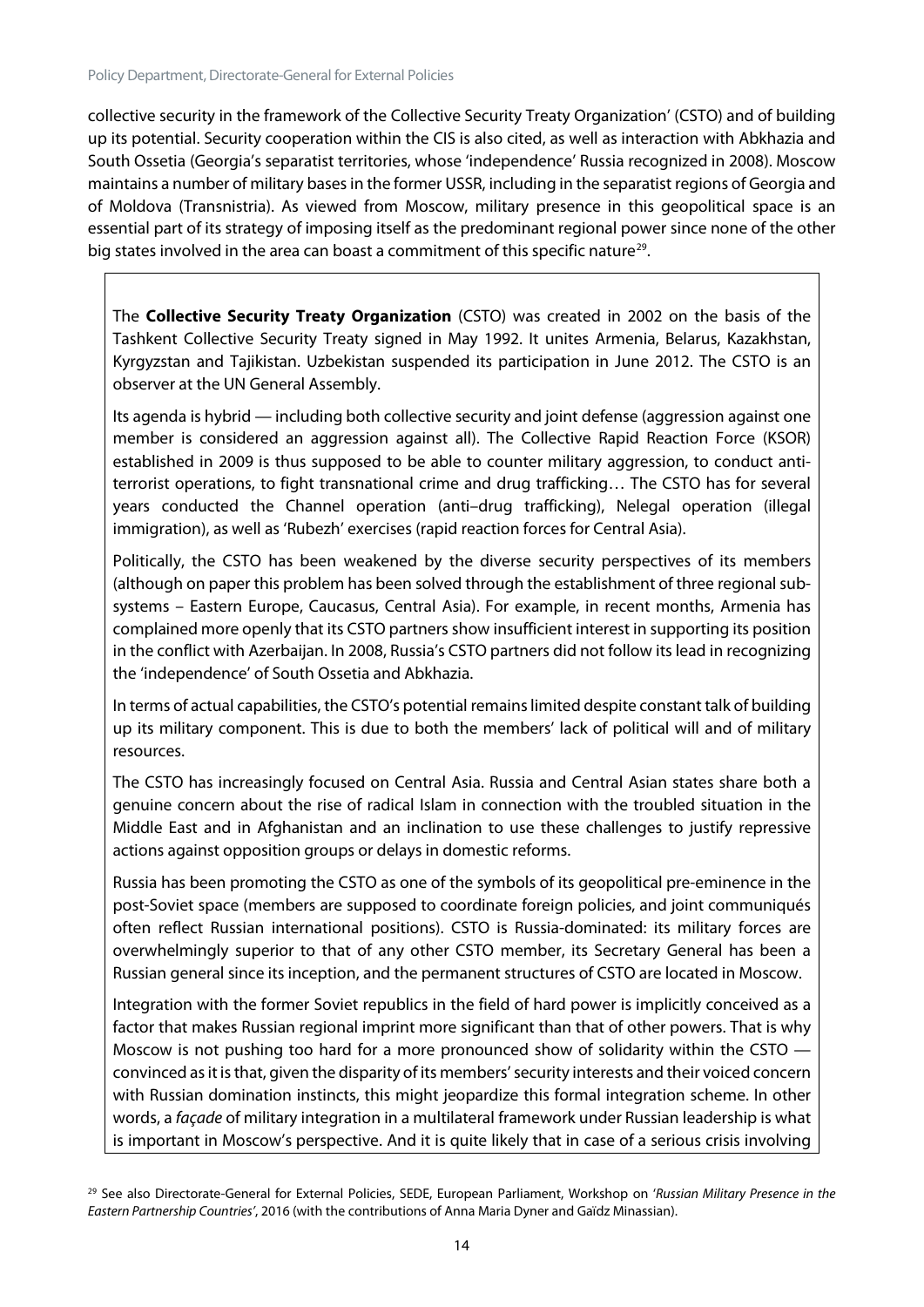collective security in the framework of the Collective Security Treaty Organization' (CSTO) and of building up its potential. Security cooperation within the CIS is also cited, as well as interaction with Abkhazia and South Ossetia (Georgia's separatist territories, whose 'independence' Russia recognized in 2008). Moscow maintains a number of military bases in the former USSR, including in the separatist regions of Georgia and of Moldova (Transnistria). As viewed from Moscow, military presence in this geopolitical space is an essential part of its strategy of imposing itself as the predominant regional power since none of the other big states involved in the area can boast a commitment of this specific nature<sup>29</sup>.

The **Collective Security Treaty Organization** (CSTO) was created in 2002 on the basis of the Tashkent Collective Security Treaty signed in May 1992. It unites Armenia, Belarus, Kazakhstan, Kyrgyzstan and Tajikistan. Uzbekistan suspended its participation in June 2012. The CSTO is an observer at the UN General Assembly.

Its agenda is hybrid — including both collective security and joint defense (aggression against one member is considered an aggression against all). The Collective Rapid Reaction Force (KSOR) established in 2009 is thus supposed to be able to counter military aggression, to conduct antiterrorist operations, to fight transnational crime and drug trafficking… The CSTO has for several years conducted the Channel operation (anti–drug trafficking), Nelegal operation (illegal immigration), as well as 'Rubezh' exercises (rapid reaction forces for Central Asia).

Politically, the CSTO has been weakened by the diverse security perspectives of its members (although on paper this problem has been solved through the establishment of three regional subsystems – Eastern Europe, Caucasus, Central Asia). For example, in recent months, Armenia has complained more openly that its CSTO partners show insufficient interest in supporting its position in the conflict with Azerbaijan. In 2008, Russia's CSTO partners did not follow its lead in recognizing the 'independence' of South Ossetia and Abkhazia.

In terms of actual capabilities, the CSTO's potential remains limited despite constant talk of building up its military component. This is due to both the members' lack of political will and of military resources.

The CSTO has increasingly focused on Central Asia. Russia and Central Asian states share both a genuine concern about the rise of radical Islam in connection with the troubled situation in the Middle East and in Afghanistan and an inclination to use these challenges to justify repressive actions against opposition groups or delays in domestic reforms.

Russia has been promoting the CSTO as one of the symbols of its geopolitical pre-eminence in the post-Soviet space (members are supposed to coordinate foreign policies, and joint communiqués often reflect Russian international positions). CSTO is Russia-dominated: its military forces are overwhelmingly superior to that of any other CSTO member, its Secretary General has been a Russian general since its inception, and the permanent structures of CSTO are located in Moscow.

Integration with the former Soviet republics in the field of hard power is implicitly conceived as a factor that makes Russian regional imprint more significant than that of other powers. That is why Moscow is not pushing too hard for a more pronounced show of solidarity within the CSTO convinced as it is that, given the disparity of its members' security interests and their voiced concern with Russian domination instincts, this might jeopardize this formal integration scheme. In other words, a *façade* of military integration in a multilateral framework under Russian leadership is what is important in Moscow's perspective. And it is quite likely that in case of a serious crisis involving

<span id="page-14-0"></span><sup>29</sup> See also Directorate-General for External Policies, SEDE, European Parliament, Workshop on '*Russian Military Presence in the Eastern Partnership Countries'*, 2016 (with the contributions of Anna Maria Dyner and Gaïdz Minassian).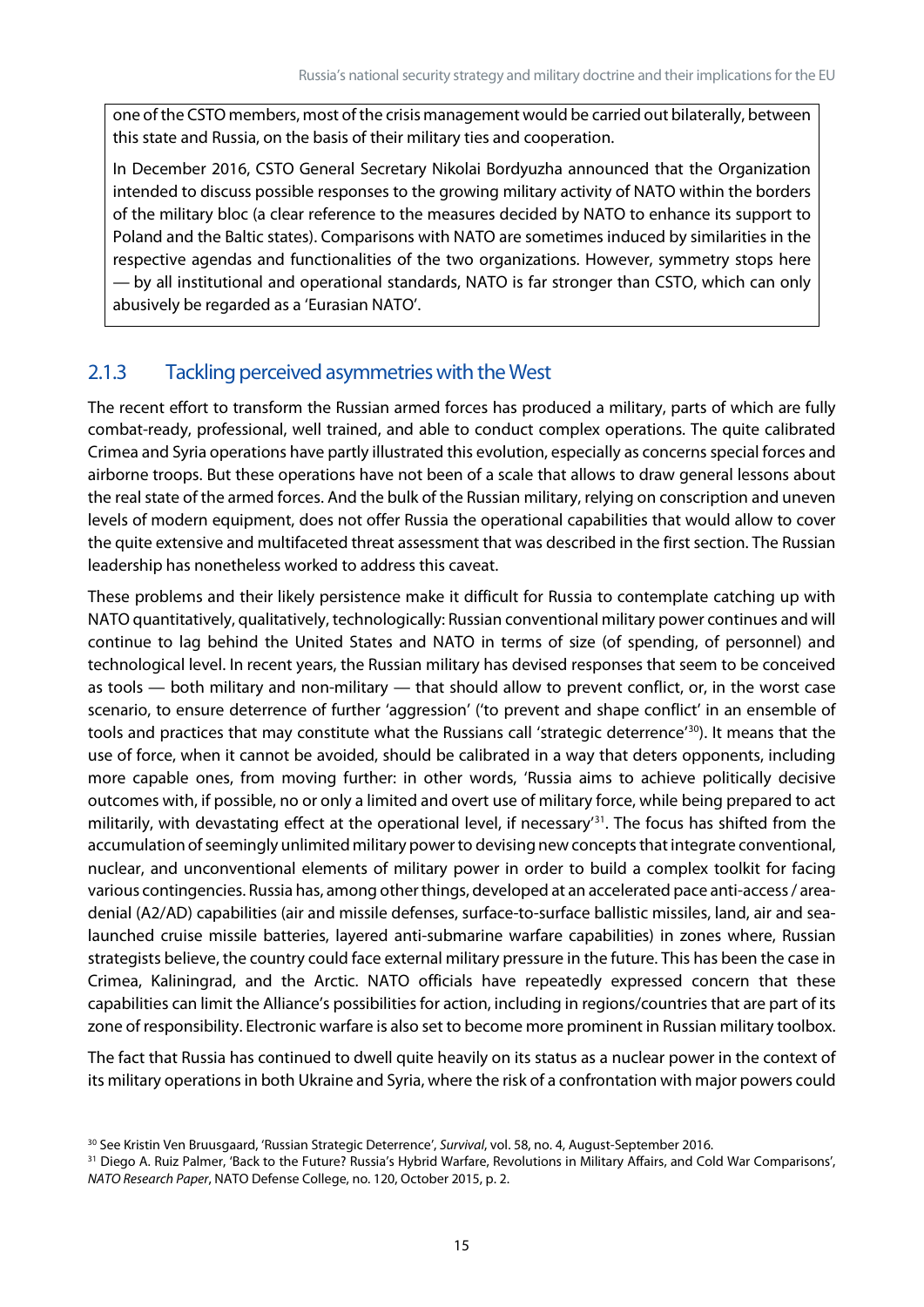one of the CSTO members, most of the crisis management would be carried out bilaterally, between this state and Russia, on the basis of their military ties and cooperation.

In December 2016, CSTO General Secretary Nikolai Bordyuzha announced that the Organization intended to discuss possible responses to the growing military activity of NATO within the borders of the military bloc (a clear reference to the measures decided by NATO to enhance its support to Poland and the Baltic states). Comparisons with NATO are sometimes induced by similarities in the respective agendas and functionalities of the two organizations. However, symmetry stops here — by all institutional and operational standards, NATO is far stronger than CSTO, which can only abusively be regarded as a 'Eurasian NATO'.

#### 2.1.3 Tackling perceived asymmetries with the West

The recent effort to transform the Russian armed forces has produced a military, parts of which are fully combat-ready, professional, well trained, and able to conduct complex operations. The quite calibrated Crimea and Syria operations have partly illustrated this evolution, especially as concerns special forces and airborne troops. But these operations have not been of a scale that allows to draw general lessons about the real state of the armed forces. And the bulk of the Russian military, relying on conscription and uneven levels of modern equipment, does not offer Russia the operational capabilities that would allow to cover the quite extensive and multifaceted threat assessment that was described in the first section. The Russian leadership has nonetheless worked to address this caveat.

These problems and their likely persistence make it difficult for Russia to contemplate catching up with NATO quantitatively, qualitatively, technologically: Russian conventional military power continues and will continue to lag behind the United States and NATO in terms of size (of spending, of personnel) and technological level. In recent years, the Russian military has devised responses that seem to be conceived as tools — both military and non-military — that should allow to prevent conflict, or, in the worst case scenario, to ensure deterrence of further 'aggression' ('to prevent and shape conflict' in an ensemble of tools and practices that may constitute what the Russians call 'strategic deterrence' [30](#page-15-0)). It means that the use of force, when it cannot be avoided, should be calibrated in a way that deters opponents, including more capable ones, from moving further: in other words, 'Russia aims to achieve politically decisive outcomes with, if possible, no or only a limited and overt use of military force, while being prepared to act militarily, with devastating effect at the operational level, if necessary' [31](#page-15-1). The focus has shifted from the accumulation of seemingly unlimited military power to devising new concepts that integrate conventional, nuclear, and unconventional elements of military power in order to build a complex toolkit for facing various contingencies. Russia has, among other things, developed at an accelerated pace anti-access / areadenial (A2/AD) capabilities (air and missile defenses, surface-to-surface ballistic missiles, land, air and sealaunched cruise missile batteries, layered anti-submarine warfare capabilities) in zones where, Russian strategists believe, the country could face external military pressure in the future. This has been the case in Crimea, Kaliningrad, and the Arctic. NATO officials have repeatedly expressed concern that these capabilities can limit the Alliance's possibilities for action, including in regions/countries that are part of its zone of responsibility. Electronic warfare is also set to become more prominent in Russian military toolbox.

The fact that Russia has continued to dwell quite heavily on its status as a nuclear power in the context of its military operations in both Ukraine and Syria, where the risk of a confrontation with major powers could

<span id="page-15-0"></span><sup>30</sup> See Kristin Ven Bruusgaard, 'Russian Strategic Deterrence', *Survival*, vol. 58, no. 4, August-September 2016.

<span id="page-15-1"></span><sup>&</sup>lt;sup>31</sup> Diego A. Ruiz Palmer, 'Back to the Future? Russia's Hybrid Warfare, Revolutions in Military Affairs, and Cold War Comparisons', *NATO Research Paper*, NATO Defense College, no. 120, October 2015, p. 2.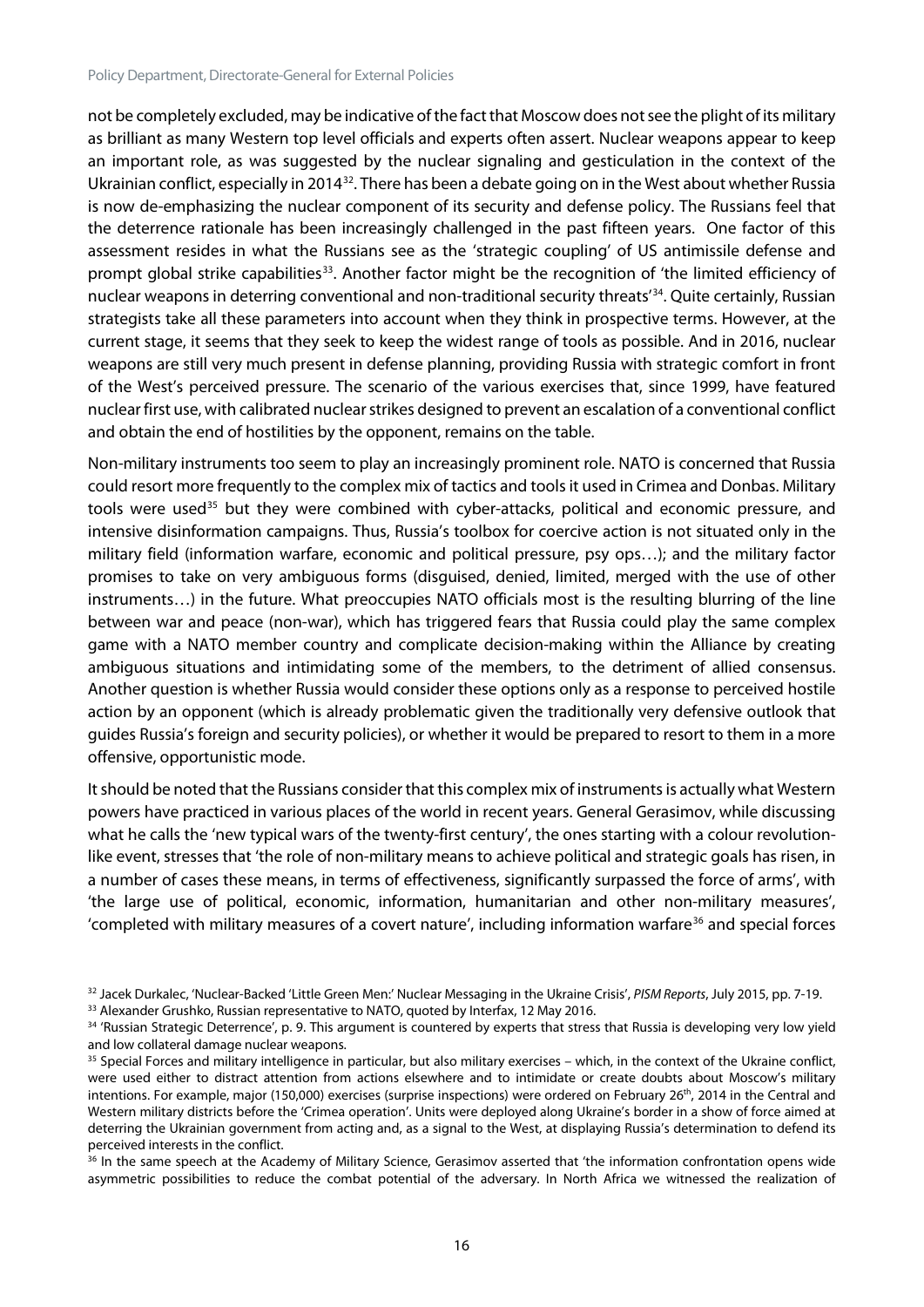not be completely excluded, may be indicative of the fact that Moscow does not see the plight of its military as brilliant as many Western top level officials and experts often assert. Nuclear weapons appear to keep an important role, as was suggested by the nuclear signaling and gesticulation in the context of the Ukrainian conflict, especially in 2014[32.](#page-16-0) There has been a debate going on in the West about whether Russia is now de-emphasizing the nuclear component of its security and defense policy. The Russians feel that the deterrence rationale has been increasingly challenged in the past fifteen years. One factor of this assessment resides in what the Russians see as the 'strategic coupling' of US antimissile defense and prompt global strike capabilities<sup>33</sup>. Another factor might be the recognition of 'the limited efficiency of nuclear weapons in deterring conventional and non-traditional security threats<sup>'[34](#page-16-2)</sup>. Quite certainly, Russian strategists take all these parameters into account when they think in prospective terms. However, at the current stage, it seems that they seek to keep the widest range of tools as possible. And in 2016, nuclear weapons are still very much present in defense planning, providing Russia with strategic comfort in front of the West's perceived pressure. The scenario of the various exercises that, since 1999, have featured nuclear first use, with calibrated nuclear strikes designed to prevent an escalation of a conventional conflict and obtain the end of hostilities by the opponent, remains on the table.

Non-military instruments too seem to play an increasingly prominent role. NATO is concerned that Russia could resort more frequently to the complex mix of tactics and tools it used in Crimea and Donbas. Military tools were used<sup>[35](#page-16-3)</sup> but they were combined with cyber-attacks, political and economic pressure, and intensive disinformation campaigns. Thus, Russia's toolbox for coercive action is not situated only in the military field (information warfare, economic and political pressure, psy ops…); and the military factor promises to take on very ambiguous forms (disguised, denied, limited, merged with the use of other instruments…) in the future. What preoccupies NATO officials most is the resulting blurring of the line between war and peace (non-war), which has triggered fears that Russia could play the same complex game with a NATO member country and complicate decision-making within the Alliance by creating ambiguous situations and intimidating some of the members, to the detriment of allied consensus. Another question is whether Russia would consider these options only as a response to perceived hostile action by an opponent (which is already problematic given the traditionally very defensive outlook that guides Russia's foreign and security policies), or whether it would be prepared to resort to them in a more offensive, opportunistic mode.

It should be noted that the Russians consider that this complex mix of instruments is actually what Western powers have practiced in various places of the world in recent years. General Gerasimov, while discussing what he calls the 'new typical wars of the twenty-first century', the ones starting with a colour revolutionlike event, stresses that 'the role of non-military means to achieve political and strategic goals has risen, in a number of cases these means, in terms of effectiveness, significantly surpassed the force of arms', with 'the large use of political, economic, information, humanitarian and other non-military measures', 'completed with military measures of a covert nature', including information warfare<sup>[36](#page-16-4)</sup> and special forces

<span id="page-16-1"></span><sup>33</sup> Alexander Grushko, Russian representative to NATO, quoted by Interfax, 12 May 2016.

<span id="page-16-0"></span><sup>32</sup> Jacek Durkalec, 'Nuclear-Backed 'Little Green Men:' Nuclear Messaging in the Ukraine Crisis', *PISM Reports*, July 2015, pp. 7-19.

<span id="page-16-2"></span><sup>34 &#</sup>x27;Russian Strategic Deterrence', p. 9. This argument is countered by experts that stress that Russia is developing very low yield and low collateral damage nuclear weapons.

<span id="page-16-3"></span><sup>&</sup>lt;sup>35</sup> Special Forces and military intelligence in particular, but also military exercises – which, in the context of the Ukraine conflict, were used either to distract attention from actions elsewhere and to intimidate or create doubts about Moscow's military intentions. For example, major (150,000) exercises (surprise inspections) were ordered on February 26<sup>th</sup>, 2014 in the Central and Western military districts before the 'Crimea operation'. Units were deployed along Ukraine's border in a show of force aimed at deterring the Ukrainian government from acting and, as a signal to the West, at displaying Russia's determination to defend its perceived interests in the conflict.

<span id="page-16-4"></span><sup>&</sup>lt;sup>36</sup> In the same speech at the Academy of Military Science, Gerasimov asserted that 'the information confrontation opens wide asymmetric possibilities to reduce the combat potential of the adversary. In North Africa we witnessed the realization of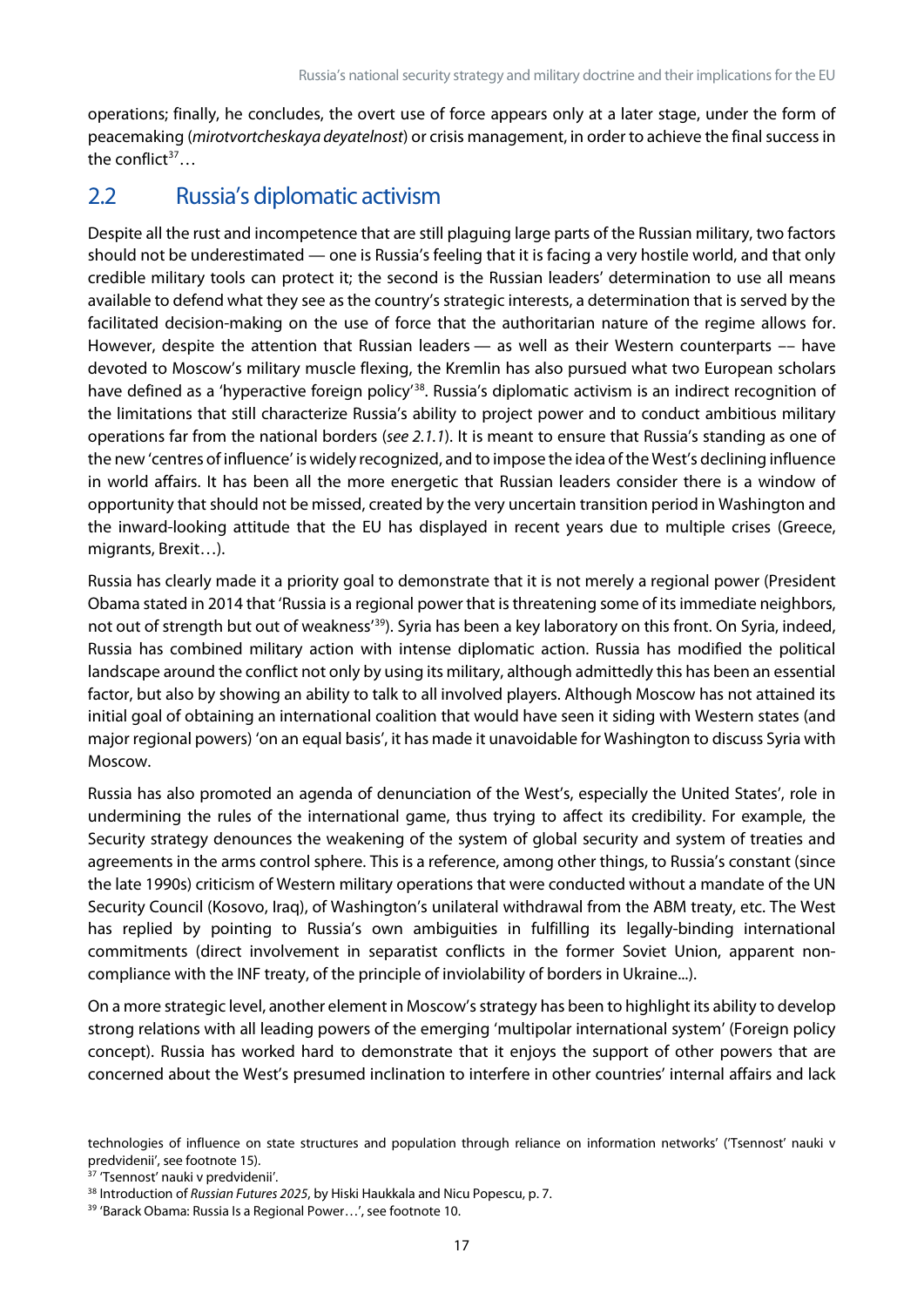operations; finally, he concludes, the overt use of force appears only at a later stage, under the form of peacemaking (*mirotvortcheskaya deyatelnost*) or crisis management, in order to achieve the final success in the conflict $37...$  $37...$ 

#### <span id="page-17-0"></span>2.2 Russia's diplomatic activism

Despite all the rust and incompetence that are still plaguing large parts of the Russian military, two factors should not be underestimated — one is Russia's feeling that it is facing a very hostile world, and that only credible military tools can protect it; the second is the Russian leaders' determination to use all means available to defend what they see as the country's strategic interests, a determination that is served by the facilitated decision-making on the use of force that the authoritarian nature of the regime allows for. However, despite the attention that Russian leaders — as well as their Western counterparts –– have devoted to Moscow's military muscle flexing, the Kremlin has also pursued what two European scholars have defined as a 'hyperactive foreign policy<sup>'38</sup>. Russia's diplomatic activism is an indirect recognition of the limitations that still characterize Russia's ability to project power and to conduct ambitious military operations far from the national borders (*see 2.1.1*). It is meant to ensure that Russia's standing as one of the new 'centres of influence' is widely recognized, and to impose the idea of the West's declining influence in world affairs. It has been all the more energetic that Russian leaders consider there is a window of opportunity that should not be missed, created by the very uncertain transition period in Washington and the inward-looking attitude that the EU has displayed in recent years due to multiple crises (Greece, migrants, Brexit…).

Russia has clearly made it a priority goal to demonstrate that it is not merely a regional power (President Obama stated in 2014 that 'Russia is a regional power that is threatening some of its immediate neighbors, not out of strength but out of weakness'<sup>[39](#page-17-3)</sup>). Syria has been a key laboratory on this front. On Syria, indeed, Russia has combined military action with intense diplomatic action. Russia has modified the political landscape around the conflict not only by using its military, although admittedly this has been an essential factor, but also by showing an ability to talk to all involved players. Although Moscow has not attained its initial goal of obtaining an international coalition that would have seen it siding with Western states (and major regional powers) 'on an equal basis', it has made it unavoidable for Washington to discuss Syria with Moscow.

Russia has also promoted an agenda of denunciation of the West's, especially the United States', role in undermining the rules of the international game, thus trying to affect its credibility. For example, the Security strategy denounces the weakening of the system of global security and system of treaties and agreements in the arms control sphere. This is a reference, among other things, to Russia's constant (since the late 1990s) criticism of Western military operations that were conducted without a mandate of the UN Security Council (Kosovo, Iraq), of Washington's unilateral withdrawal from the ABM treaty, etc. The West has replied by pointing to Russia's own ambiguities in fulfilling its legally-binding international commitments (direct involvement in separatist conflicts in the former Soviet Union, apparent noncompliance with the INF treaty, of the principle of inviolability of borders in Ukraine...).

On a more strategic level, another element in Moscow's strategy has been to highlight its ability to develop strong relations with all leading powers of the emerging 'multipolar international system' (Foreign policy concept). Russia has worked hard to demonstrate that it enjoys the support of other powers that are concerned about the West's presumed inclination to interfere in other countries' internal affairs and lack

technologies of influence on state structures and population through reliance on information networks' ('Tsennost' nauki v predvidenii', see footnote 15).

<span id="page-17-1"></span><sup>&</sup>lt;sup>37</sup> 'Tsennost' nauki v predvidenii'.

<span id="page-17-2"></span><sup>38</sup> Introduction of *Russian Futures 2025*, by Hiski Haukkala and Nicu Popescu, p. 7.

<span id="page-17-3"></span><sup>39</sup> 'Barack Obama: Russia Is a Regional Power…', see footnote 10.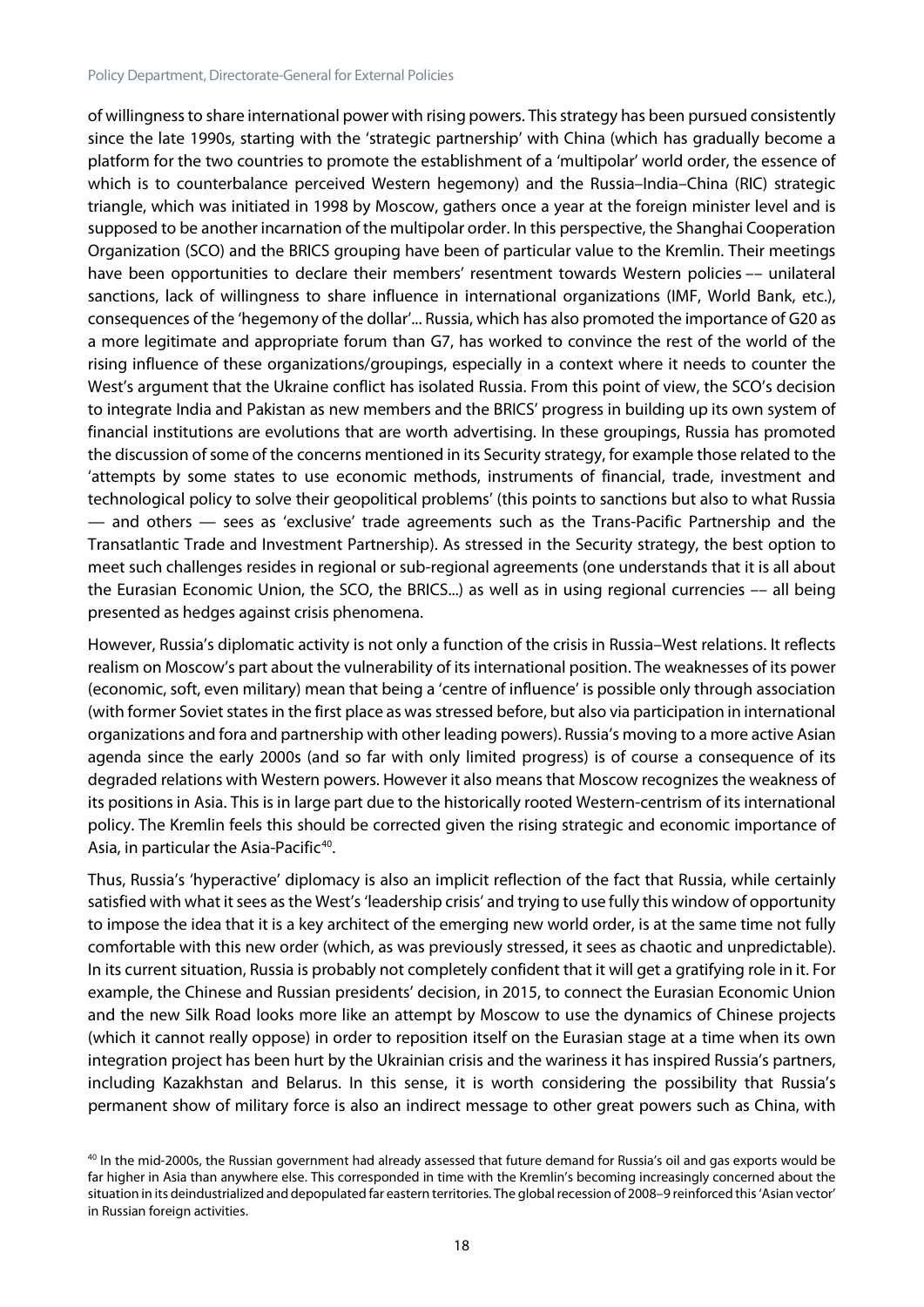of willingness to share international power with rising powers. This strategy has been pursued consistently since the late 1990s, starting with the 'strategic partnership' with China (which has gradually become a platform for the two countries to promote the establishment of a 'multipolar' world order, the essence of which is to counterbalance perceived Western hegemony) and the Russia–India–China (RIC) strategic triangle, which was initiated in 1998 by Moscow, gathers once a year at the foreign minister level and is supposed to be another incarnation of the multipolar order. In this perspective, the Shanghai Cooperation Organization (SCO) and the BRICS grouping have been of particular value to the Kremlin. Their meetings have been opportunities to declare their members' resentment towards Western policies –– unilateral sanctions, lack of willingness to share influence in international organizations (IMF, World Bank, etc.), consequences of the 'hegemony of the dollar'... Russia, which has also promoted the importance of G20 as a more legitimate and appropriate forum than G7, has worked to convince the rest of the world of the rising influence of these organizations/groupings, especially in a context where it needs to counter the West's argument that the Ukraine conflict has isolated Russia. From this point of view, the SCO's decision to integrate India and Pakistan as new members and the BRICS' progress in building up its own system of financial institutions are evolutions that are worth advertising. In these groupings, Russia has promoted the discussion of some of the concerns mentioned in its Security strategy, for example those related to the 'attempts by some states to use economic methods, instruments of financial, trade, investment and technological policy to solve their geopolitical problems' (this points to sanctions but also to what Russia — and others — sees as 'exclusive' trade agreements such as the Trans-Pacific Partnership and the Transatlantic Trade and Investment Partnership). As stressed in the Security strategy, the best option to meet such challenges resides in regional or sub-regional agreements (one understands that it is all about the Eurasian Economic Union, the SCO, the BRICS...) as well as in using regional currencies –– all being presented as hedges against crisis phenomena.

However, Russia's diplomatic activity is not only a function of the crisis in Russia–West relations. It reflects realism on Moscow's part about the vulnerability of its international position. The weaknesses of its power (economic, soft, even military) mean that being a 'centre of influence' is possible only through association (with former Soviet states in the first place as was stressed before, but also via participation in international organizations and fora and partnership with other leading powers). Russia's moving to a more active Asian agenda since the early 2000s (and so far with only limited progress) is of course a consequence of its degraded relations with Western powers. However it also means that Moscow recognizes the weakness of its positions in Asia. This is in large part due to the historically rooted Western-centrism of its international policy. The Kremlin feels this should be corrected given the rising strategic and economic importance of Asia, in particular the Asia-Pacific $40$ .

Thus, Russia's 'hyperactive' diplomacy is also an implicit reflection of the fact that Russia, while certainly satisfied with what it sees as the West's 'leadership crisis' and trying to use fully this window of opportunity to impose the idea that it is a key architect of the emerging new world order, is at the same time not fully comfortable with this new order (which, as was previously stressed, it sees as chaotic and unpredictable). In its current situation, Russia is probably not completely confident that it will get a gratifying role in it. For example, the Chinese and Russian presidents' decision, in 2015, to connect the Eurasian Economic Union and the new Silk Road looks more like an attempt by Moscow to use the dynamics of Chinese projects (which it cannot really oppose) in order to reposition itself on the Eurasian stage at a time when its own integration project has been hurt by the Ukrainian crisis and the wariness it has inspired Russia's partners, including Kazakhstan and Belarus. In this sense, it is worth considering the possibility that Russia's permanent show of military force is also an indirect message to other great powers such as China, with

<span id="page-18-0"></span> $40$  In the mid-2000s, the Russian government had already assessed that future demand for Russia's oil and gas exports would be far higher in Asia than anywhere else. This corresponded in time with the Kremlin's becoming increasingly concerned about the situation in its deindustrialized and depopulated far eastern territories. The global recession of 2008–9 reinforced this 'Asian vector' in Russian foreign activities.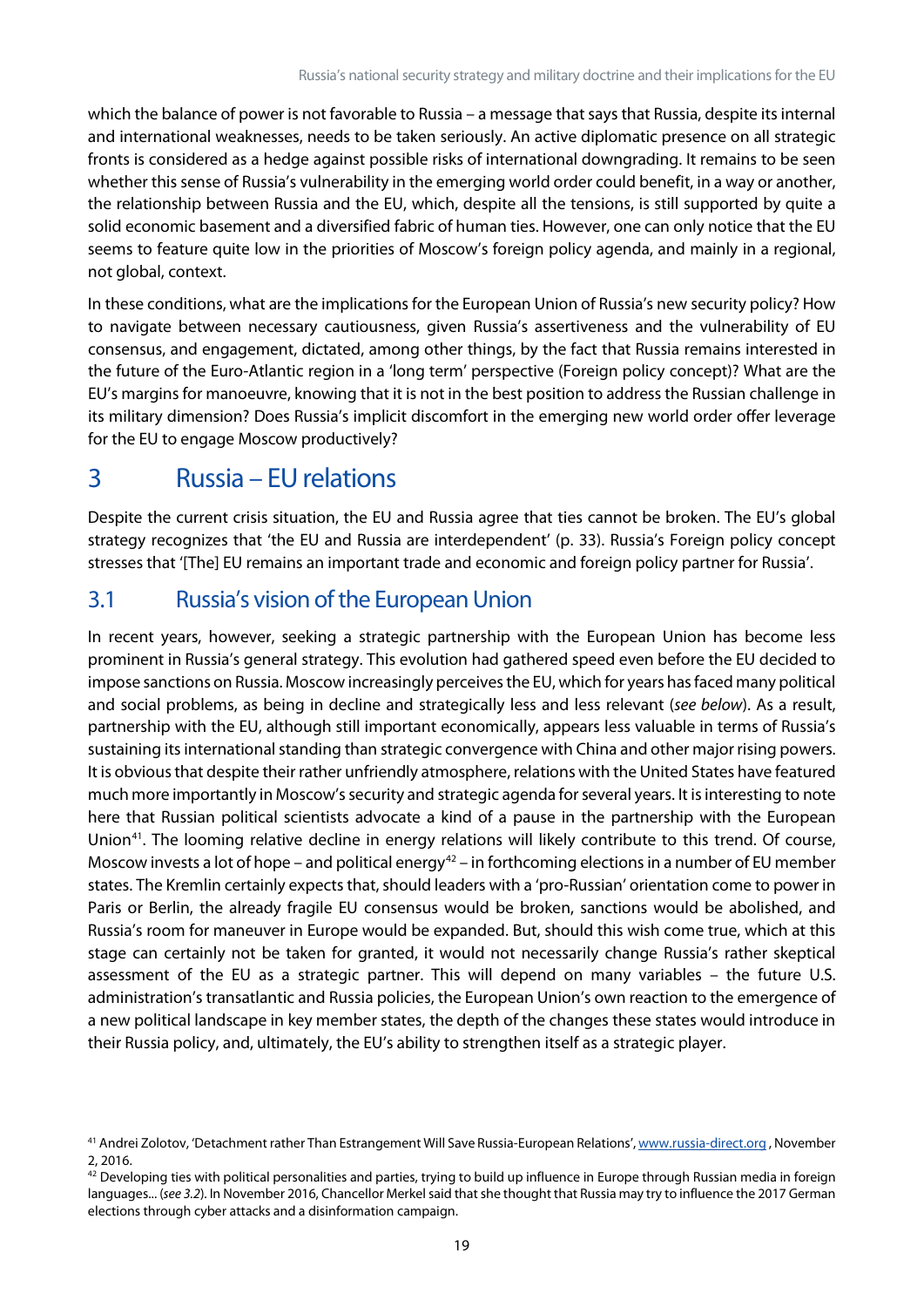which the balance of power is not favorable to Russia – a message that says that Russia, despite its internal and international weaknesses, needs to be taken seriously. An active diplomatic presence on all strategic fronts is considered as a hedge against possible risks of international downgrading. It remains to be seen whether this sense of Russia's vulnerability in the emerging world order could benefit, in a way or another, the relationship between Russia and the EU, which, despite all the tensions, is still supported by quite a solid economic basement and a diversified fabric of human ties. However, one can only notice that the EU seems to feature quite low in the priorities of Moscow's foreign policy agenda, and mainly in a regional, not global, context.

In these conditions, what are the implications for the European Union of Russia's new security policy? How to navigate between necessary cautiousness, given Russia's assertiveness and the vulnerability of EU consensus, and engagement, dictated, among other things, by the fact that Russia remains interested in the future of the Euro-Atlantic region in a 'long term' perspective (Foreign policy concept)? What are the EU's margins for manoeuvre, knowing that it is not in the best position to address the Russian challenge in its military dimension? Does Russia's implicit discomfort in the emerging new world order offer leverage for the EU to engage Moscow productively?

# <span id="page-19-0"></span>3 Russia – EU relations

Despite the current crisis situation, the EU and Russia agree that ties cannot be broken. The EU's global strategy recognizes that 'the EU and Russia are interdependent' (p. 33). Russia's Foreign policy concept stresses that '[The] EU remains an important trade and economic and foreign policy partner for Russia'.

## <span id="page-19-1"></span>3.1 Russia's vision of the European Union

In recent years, however, seeking a strategic partnership with the European Union has become less prominent in Russia's general strategy. This evolution had gathered speed even before the EU decided to impose sanctions on Russia. Moscow increasingly perceives the EU, which for years has faced many political and social problems, as being in decline and strategically less and less relevant (*see below*). As a result, partnership with the EU, although still important economically, appears less valuable in terms of Russia's sustaining its international standing than strategic convergence with China and other major rising powers. It is obvious that despite their rather unfriendly atmosphere, relations with the United States have featured much more importantly in Moscow's security and strategic agenda for several years. It is interesting to note here that Russian political scientists advocate a kind of a pause in the partnership with the European Union<sup>41</sup>. The looming relative decline in energy relations will likely contribute to this trend. Of course, Moscow invests a lot of hope – and political energy<sup>[42](#page-19-3)</sup> – in forthcoming elections in a number of EU member states. The Kremlin certainly expects that, should leaders with a 'pro-Russian' orientation come to power in Paris or Berlin, the already fragile EU consensus would be broken, sanctions would be abolished, and Russia's room for maneuver in Europe would be expanded. But, should this wish come true, which at this stage can certainly not be taken for granted, it would not necessarily change Russia's rather skeptical assessment of the EU as a strategic partner. This will depend on many variables – the future U.S. administration's transatlantic and Russia policies, the European Union's own reaction to the emergence of a new political landscape in key member states, the depth of the changes these states would introduce in their Russia policy, and, ultimately, the EU's ability to strengthen itself as a strategic player.

<span id="page-19-2"></span><sup>&</sup>lt;sup>41</sup> Andrei Zolotov, 'Detachment rather Than Estrangement Will Save Russia-European Relations'[, www.russia-direct.org](http://www.russia-direct.org/), November 2, 2016.

<span id="page-19-3"></span> $42$  Developing ties with political personalities and parties, trying to build up influence in Europe through Russian media in foreign languages... (see 3.2). In November 2016, Chancellor Merkel said that she thought that Russia may try to influence the 2017 German elections through cyber attacks and a disinformation campaign.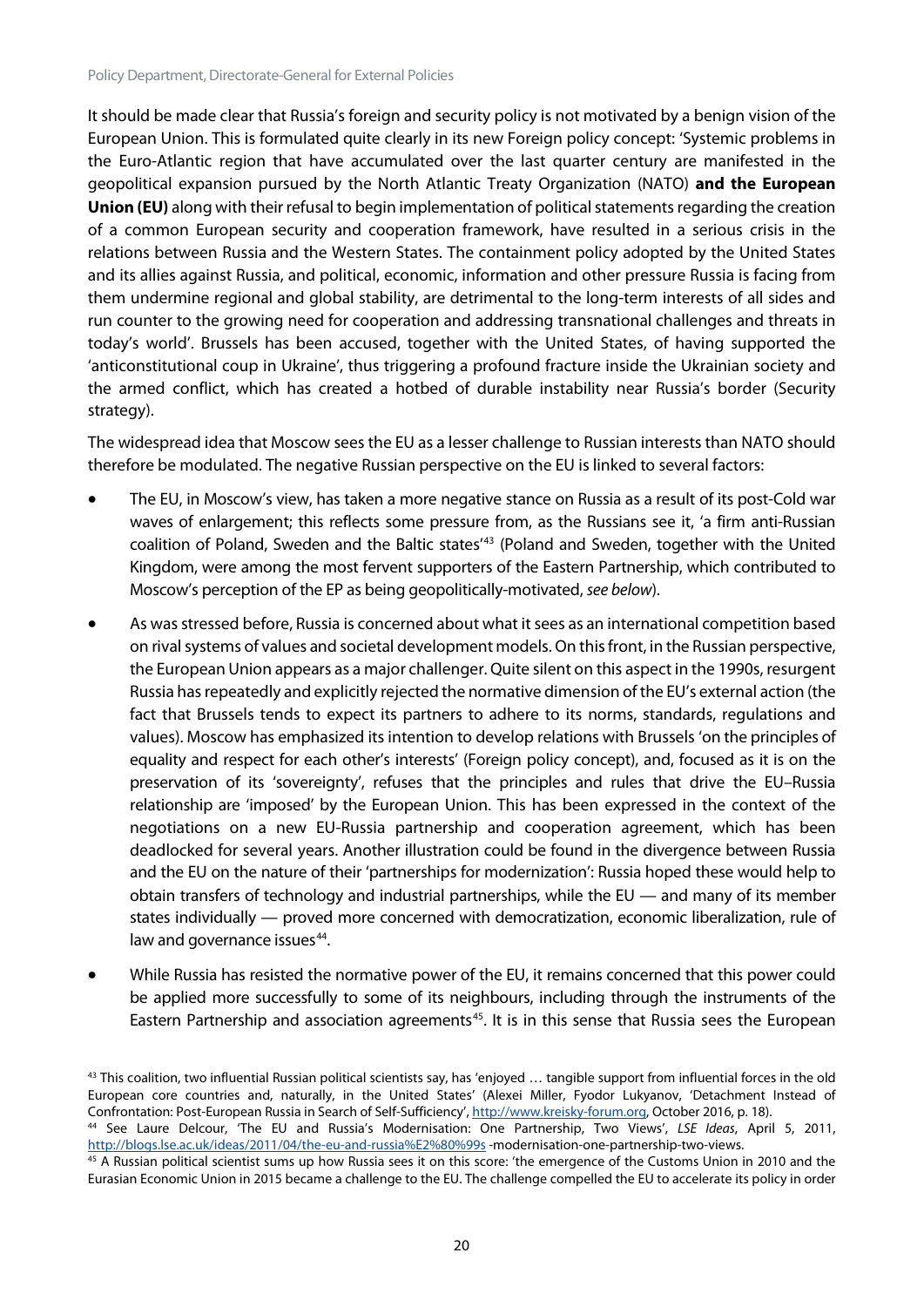It should be made clear that Russia's foreign and security policy is not motivated by a benign vision of the European Union. This is formulated quite clearly in its new Foreign policy concept: 'Systemic problems in the Euro-Atlantic region that have accumulated over the last quarter century are manifested in the geopolitical expansion pursued by the North Atlantic Treaty Organization (NATO) **and the European Union (EU)** along with their refusal to begin implementation of political statements regarding the creation of a common European security and cooperation framework, have resulted in a serious crisis in the relations between Russia and the Western States. The containment policy adopted by the United States and its allies against Russia, and political, economic, information and other pressure Russia is facing from them undermine regional and global stability, are detrimental to the long-term interests of all sides and run counter to the growing need for cooperation and addressing transnational challenges and threats in today's world'. Brussels has been accused, together with the United States, of having supported the 'anticonstitutional coup in Ukraine', thus triggering a profound fracture inside the Ukrainian society and the armed conflict, which has created a hotbed of durable instability near Russia's border (Security strategy).

The widespread idea that Moscow sees the EU as a lesser challenge to Russian interests than NATO should therefore be modulated. The negative Russian perspective on the EU is linked to several factors:

- The EU, in Moscow's view, has taken a more negative stance on Russia as a result of its post-Cold war waves of enlargement; this reflects some pressure from, as the Russians see it, 'a firm anti-Russian coalition of Poland, Sweden and the Baltic states'<sup>[43](#page-20-0)</sup> (Poland and Sweden, together with the United Kingdom, were among the most fervent supporters of the Eastern Partnership, which contributed to Moscow's perception of the EP as being geopolitically-motivated, *see below*).
- As was stressed before, Russia is concerned about what it sees as an international competition based on rival systems of values and societal development models. On this front, in the Russian perspective, the European Union appears as a major challenger. Quite silent on this aspect in the 1990s, resurgent Russia has repeatedly and explicitly rejected the normative dimension of the EU's external action (the fact that Brussels tends to expect its partners to adhere to its norms, standards, regulations and values). Moscow has emphasized its intention to develop relations with Brussels 'on the principles of equality and respect for each other's interests' (Foreign policy concept), and, focused as it is on the preservation of its 'sovereignty', refuses that the principles and rules that drive the EU–Russia relationship are 'imposed' by the European Union. This has been expressed in the context of the negotiations on a new EU-Russia partnership and cooperation agreement, which has been deadlocked for several years. Another illustration could be found in the divergence between Russia and the EU on the nature of their 'partnerships for modernization': Russia hoped these would help to obtain transfers of technology and industrial partnerships, while the EU — and many of its member states individually — proved more concerned with democratization, economic liberalization, rule of law and governance issues<sup>44</sup>.
- While Russia has resisted the normative power of the EU, it remains concerned that this power could be applied more successfully to some of its neighbours, including through the instruments of the Eastern Partnership and association agreements<sup>45</sup>. It is in this sense that Russia sees the European

<span id="page-20-0"></span> $43$  This coalition, two influential Russian political scientists say, has 'enjoyed  $\ldots$  tangible support from influential forces in the old European core countries and, naturally, in the United States' (Alexei Miller, Fyodor Lukyanov, 'Detachment Instead of Confrontation: Post-European Russia in Search of Self-Sufficiency'[, http://www.kreisky-forum.org,](http://www.kreisky-forum.org/) October 2016, p. 18).

<span id="page-20-1"></span><sup>44</sup> See Laure Delcour, 'The EU and Russia's Modernisation: One Partnership, Two Views', *LSE Ideas*, April 5, 2011, <http://blogs.lse.ac.uk/ideas/2011/04/the-eu-and-russia%E2%80%99s> -modernisation-one-partnership-two-views.

<span id="page-20-2"></span><sup>&</sup>lt;sup>45</sup> A Russian political scientist sums up how Russia sees it on this score: 'the emergence of the Customs Union in 2010 and the Eurasian Economic Union in 2015 became a challenge to the EU. The challenge compelled the EU to accelerate its policy in order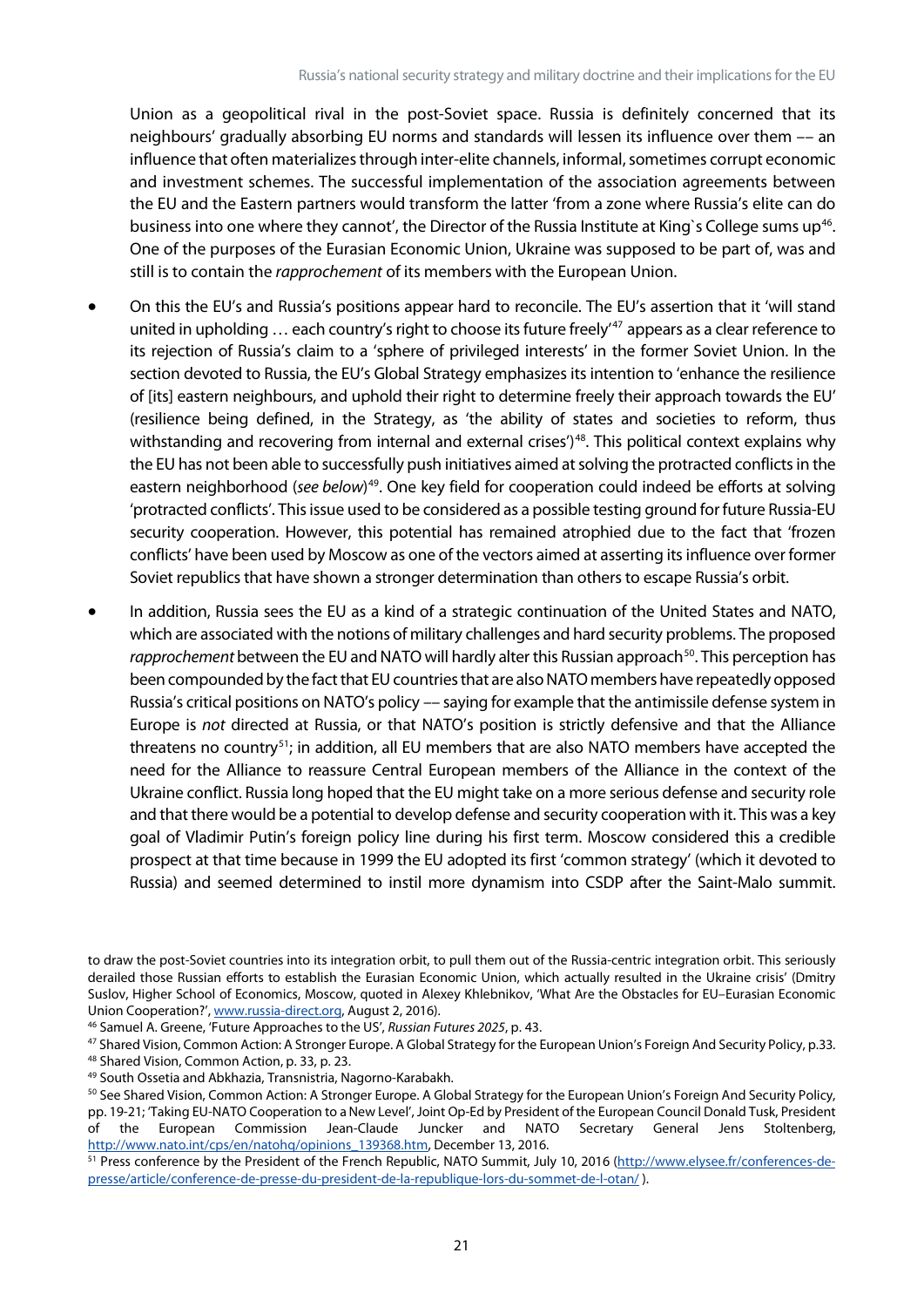Union as a geopolitical rival in the post-Soviet space. Russia is definitely concerned that its neighbours' gradually absorbing EU norms and standards will lessen its influence over them –– an influence that often materializes through inter-elite channels, informal, sometimes corrupt economic and investment schemes. The successful implementation of the association agreements between the EU and the Eastern partners would transform the latter 'from a zone where Russia's elite can do business into one where they cannot', the Director of the Russia Institute at King's College sums up<sup>[46](#page-21-0)</sup>. One of the purposes of the Eurasian Economic Union, Ukraine was supposed to be part of, was and still is to contain the *rapprochement* of its members with the European Union.

- On this the EU's and Russia's positions appear hard to reconcile. The EU's assertion that it 'will stand united in upholding ... each country's right to choose its future freely'<sup>[47](#page-21-1)</sup> appears as a clear reference to its rejection of Russia's claim to a 'sphere of privileged interests' in the former Soviet Union. In the section devoted to Russia, the EU's Global Strategy emphasizes its intention to 'enhance the resilience of [its] eastern neighbours, and uphold their right to determine freely their approach towards the EU' (resilience being defined, in the Strategy, as 'the ability of states and societies to reform, thus withstanding and recovering from internal and external crises')<sup>[48](#page-21-2)</sup>. This political context explains why the EU has not been able to successfully push initiatives aimed at solving the protracted conflicts in the eastern neighborhood (see below)<sup>[49](#page-21-3)</sup>. One key field for cooperation could indeed be efforts at solving 'protracted conflicts'. Thisissue used to be considered as a possible testing ground for future Russia-EU security cooperation. However, this potential has remained atrophied due to the fact that 'frozen conflicts' have been used by Moscow as one of the vectors aimed at asserting its influence over former Soviet republics that have shown a stronger determination than others to escape Russia's orbit.
- In addition, Russia sees the EU as a kind of a strategic continuation of the United States and NATO, which are associated with the notions of military challenges and hard security problems. The proposed rapprochement between the EU and NATO will hardly alter this Russian approach<sup>50</sup>. This perception has been compounded by the fact that EU countries that are also NATO members have repeatedly opposed Russia's critical positions on NATO's policy –– saying for example that the antimissile defense system in Europe is *not* directed at Russia, or that NATO's position is strictly defensive and that the Alliance threatens no country<sup>[51](#page-21-5)</sup>; in addition, all EU members that are also NATO members have accepted the need for the Alliance to reassure Central European members of the Alliance in the context of the Ukraine conflict. Russia long hoped that the EU might take on a more serious defense and security role and that there would be a potential to develop defense and security cooperation with it. This was a key goal of Vladimir Putin's foreign policy line during his first term. Moscow considered this a credible prospect at that time because in 1999 the EU adopted its first 'common strategy' (which it devoted to Russia) and seemed determined to instil more dynamism into CSDP after the Saint-Malo summit.

to draw the post-Soviet countries into its integration orbit, to pull them out of the Russia-centric integration orbit. This seriously derailed those Russian efforts to establish the Eurasian Economic Union, which actually resulted in the Ukraine crisis' (Dmitry Suslov, Higher School of Economics, Moscow, quoted in Alexey Khlebnikov, 'What Are the Obstacles for EU–Eurasian Economic Union Cooperation?', [www.russia-direct.org,](http://www.russia-direct.org/) August 2, 2016).

<span id="page-21-0"></span><sup>46</sup> Samuel A. Greene, 'Future Approaches to the US', *Russian Futures 2025*, p. 43.

<span id="page-21-2"></span><span id="page-21-1"></span><sup>47</sup> Shared Vision, Common Action: A Stronger Europe. A Global Strategy for the European Union's Foreign And Security Policy, p.33. <sup>48</sup> Shared Vision, Common Action, p. 33, p. 23.<br><sup>49</sup> South Ossetia and Abkhazia, Transnistria, Nagorno-Karabakh.

<span id="page-21-3"></span>

<span id="page-21-4"></span><sup>50</sup> See Shared Vision, Common Action: A Stronger Europe. A Global Strategy for the European Union's Foreign And Security Policy, pp. 19-21; 'Taking EU-NATO Cooperation to a New Level', Joint Op-Ed by President of the European Council Donald Tusk, President of the European Commission Jean-Claude Juncker and NATO Secretary General Jens Stoltenberg, [http://www.nato.int/cps/en/natohq/opinions\\_139368.htm,](http://www.nato.int/cps/en/natohq/opinions_139368.htm) December 13, 2016.

<span id="page-21-5"></span><sup>51</sup> Press conference by the President of the French Republic, NATO Summit, July 10, 2016 [\(http://www.elysee.fr/conferences-de](http://www.elysee.fr/conferences-de-presse/article/conference-de-presse-du-president-de-la-republique-lors-du-sommet-de-l-otan/)[presse/article/conference-de-presse-du-president-de-la-republique-lors-du-sommet-de-l-otan/](http://www.elysee.fr/conferences-de-presse/article/conference-de-presse-du-president-de-la-republique-lors-du-sommet-de-l-otan/) ).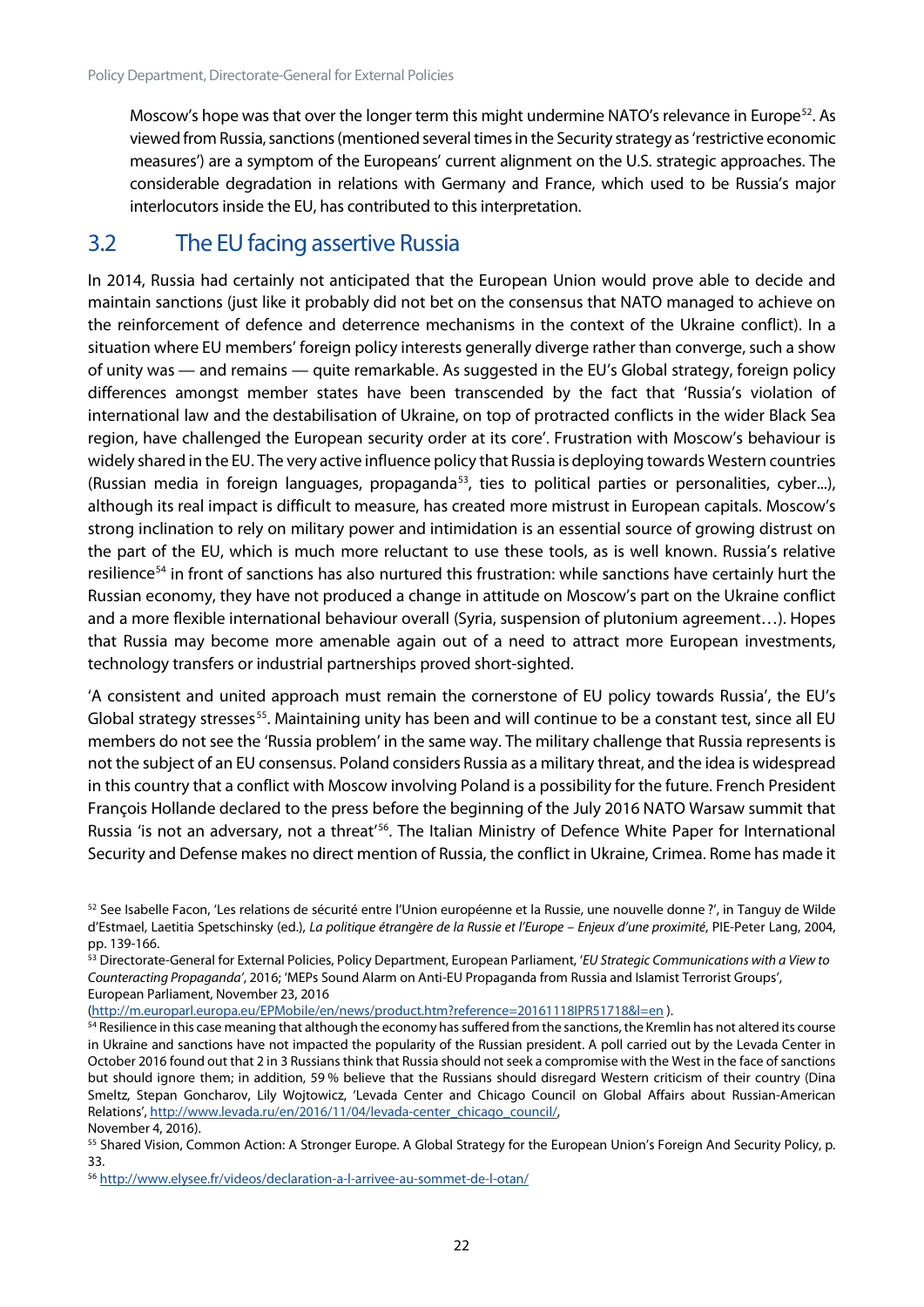Moscow's hope was that over the longer term this might undermine NATO's relevance in Europe<sup>[52](#page-22-1)</sup>. As viewed from Russia, sanctions (mentioned several times in the Security strategy as 'restrictive economic measures') are a symptom of the Europeans' current alignment on the U.S. strategic approaches. The considerable degradation in relations with Germany and France, which used to be Russia's major interlocutors inside the EU, has contributed to this interpretation.

#### <span id="page-22-0"></span>3.2 The EU facing assertive Russia

In 2014, Russia had certainly not anticipated that the European Union would prove able to decide and maintain sanctions (just like it probably did not bet on the consensus that NATO managed to achieve on the reinforcement of defence and deterrence mechanisms in the context of the Ukraine conflict). In a situation where EU members' foreign policy interests generally diverge rather than converge, such a show of unity was — and remains — quite remarkable. As suggested in the EU's Global strategy, foreign policy differences amongst member states have been transcended by the fact that 'Russia's violation of international law and the destabilisation of Ukraine, on top of protracted conflicts in the wider Black Sea region, have challenged the European security order at its core'. Frustration with Moscow's behaviour is widely shared in the EU. The very active influence policy that Russia is deploying towards Western countries (Russian media in foreign languages, propaganda<sup>53</sup>, ties to political parties or personalities, cyber...), although its real impact is difficult to measure, has created more mistrust in European capitals. Moscow's strong inclination to rely on military power and intimidation is an essential source of growing distrust on the part of the EU, which is much more reluctant to use these tools, as is well known. Russia's relative resilience<sup>54</sup> in front of sanctions has also nurtured this frustration: while sanctions have certainly hurt the Russian economy, they have not produced a change in attitude on Moscow's part on the Ukraine conflict and a more flexible international behaviour overall (Syria, suspension of plutonium agreement…). Hopes that Russia may become more amenable again out of a need to attract more European investments, technology transfers or industrial partnerships proved short-sighted.

'A consistent and united approach must remain the cornerstone of EU policy towards Russia', the EU's Global strategy stresses<sup>[55](#page-22-4)</sup>. Maintaining unity has been and will continue to be a constant test, since all EU members do not see the 'Russia problem' in the same way. The military challenge that Russia represents is not the subject of an EU consensus. Poland considers Russia as a military threat, and the idea is widespread in this country that a conflict with Moscow involving Poland is a possibility for the future. French President François Hollande declared to the press before the beginning of the July 2016 NATO Warsaw summit that Russia 'is not an adversary, not a threat<sup>'[56](#page-22-5)</sup>. The Italian Ministry of Defence White Paper for International Security and Defense makes no direct mention of Russia, the conflict in Ukraine, Crimea. Rome has made it

<span id="page-22-2"></span><sup>53</sup> Directorate-General for External Policies, Policy Department, European Parliament, '*EU Strategic Communications with a View to Counteracting Propaganda'*, 2016; 'MEPs Sound Alarm on Anti-EU Propaganda from Russia and Islamist Terrorist Groups', European Parliament, November 23, 2016

[\(http://m.europarl.europa.eu/EPMobile/en/news/product.htm?reference=20161118IPR51718&l=en](http://m.europarl.europa.eu/EPMobile/en/news/product.htm?reference=20161118IPR51718&l=en) ).

<span id="page-22-1"></span><sup>&</sup>lt;sup>52</sup> See Isabelle Facon, 'Les relations de sécurité entre l'Union européenne et la Russie, une nouvelle donne ?', in Tanguy de Wilde d'Estmael, Laetitia Spetschinsky (ed.), *La politique étrangère de la Russie et l'Europe – Enjeux d'une proximité*, PIE-Peter Lang, 2004, pp. 139-166.

<span id="page-22-3"></span><sup>&</sup>lt;sup>54</sup> Resilience in this case meaning that although the economy has suffered from the sanctions, the Kremlin has not altered its course in Ukraine and sanctions have not impacted the popularity of the Russian president. A poll carried out by the Levada Center in October 2016 found out that 2 in 3 Russians think that Russia should not seek a compromise with the West in the face of sanctions but should ignore them; in addition, 59 % believe that the Russians should disregard Western criticism of their country (Dina Smeltz, Stepan Goncharov, Lily Wojtowicz, 'Levada Center and Chicago Council on Global Affairs about Russian-American Relations', http://www.levada.ru/en/2016/11/04/levada-center\_chicago\_council/, November 4, 2016).

<span id="page-22-4"></span><sup>55</sup> Shared Vision, Common Action: A Stronger Europe. A Global Strategy for the European Union's Foreign And Security Policy, p. 33.

<span id="page-22-5"></span><sup>56</sup> <http://www.elysee.fr/videos/declaration-a-l-arrivee-au-sommet-de-l-otan/>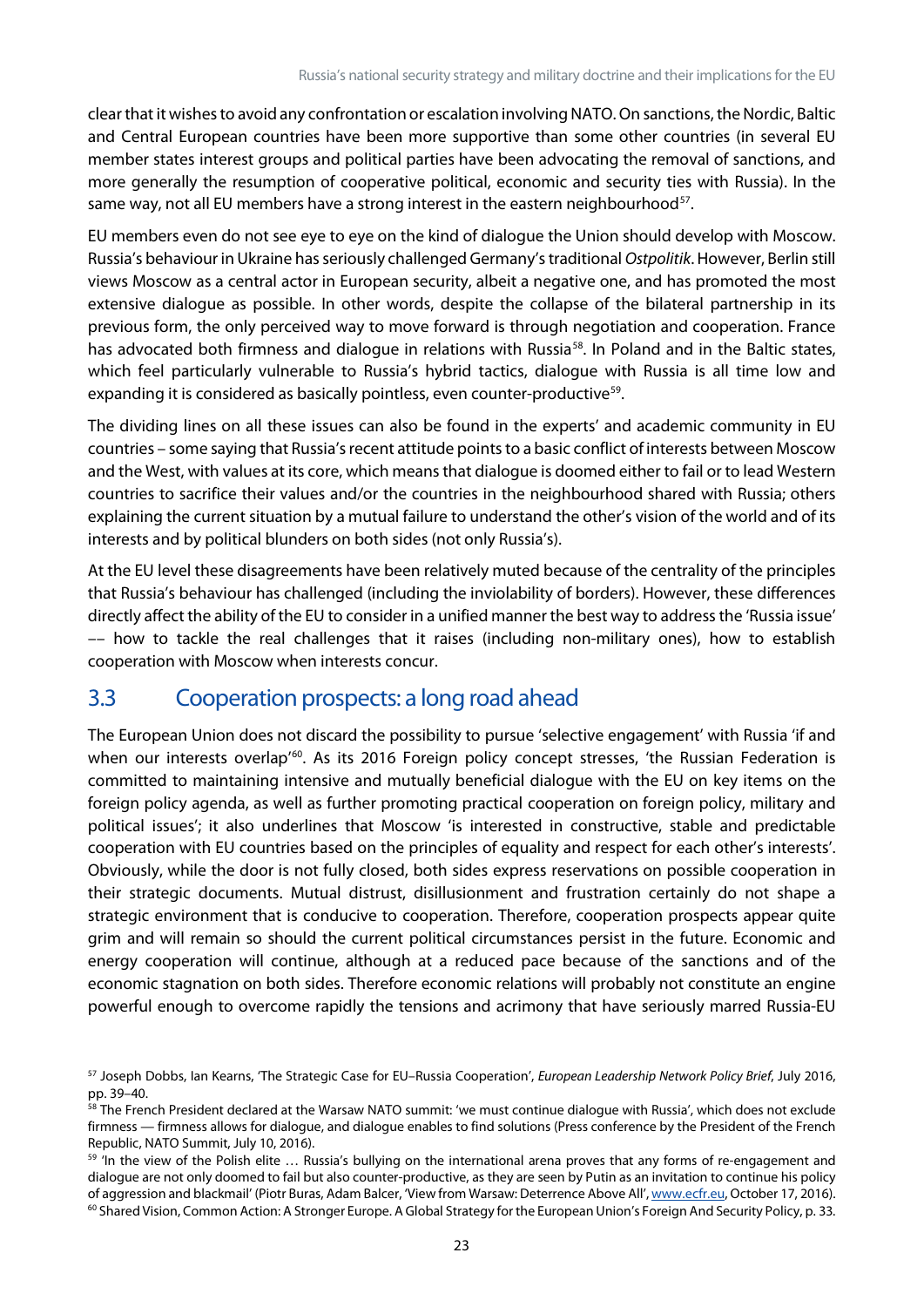clear that it wishes to avoid any confrontation or escalation involving NATO. On sanctions, the Nordic, Baltic and Central European countries have been more supportive than some other countries (in several EU member states interest groups and political parties have been advocating the removal of sanctions, and more generally the resumption of cooperative political, economic and security ties with Russia). In the same way, not all EU members have a strong interest in the eastern neighbourhood $57$ .

EU members even do not see eye to eye on the kind of dialogue the Union should develop with Moscow. Russia's behaviour in Ukraine has seriously challenged Germany'straditional *Ostpolitik*. However, Berlin still views Moscow as a central actor in European security, albeit a negative one, and has promoted the most extensive dialogue as possible. In other words, despite the collapse of the bilateral partnership in its previous form, the only perceived way to move forward is through negotiation and cooperation. France has advocated both firmness and dialogue in relations with Russia<sup>58</sup>. In Poland and in the Baltic states, which feel particularly vulnerable to Russia's hybrid tactics, dialogue with Russia is all time low and expanding it is considered as basically pointless, even counter-productive<sup>59</sup>.

The dividing lines on all these issues can also be found in the experts' and academic community in EU countries – some saying that Russia's recent attitude points to a basic conflict of interests between Moscow and the West, with values at its core, which means that dialogue is doomed either to fail or to lead Western countries to sacrifice their values and/or the countries in the neighbourhood shared with Russia; others explaining the current situation by a mutual failure to understand the other's vision of the world and of its interests and by political blunders on both sides (not only Russia's).

At the EU level these disagreements have been relatively muted because of the centrality of the principles that Russia's behaviour has challenged (including the inviolability of borders). However, these differences directly affect the ability of the EU to consider in a unified manner the best way to address the 'Russia issue' –– how to tackle the real challenges that it raises (including non-military ones), how to establish cooperation with Moscow when interests concur.

#### <span id="page-23-0"></span>3.3 Cooperation prospects: a long road ahead

The European Union does not discard the possibility to pursue 'selective engagement' with Russia 'if and when our interests overlap<sup>1[60](#page-23-4)</sup>. As its 2016 Foreign policy concept stresses, 'the Russian Federation is committed to maintaining intensive and mutually beneficial dialogue with the EU on key items on the foreign policy agenda, as well as further promoting practical cooperation on foreign policy, military and political issues'; it also underlines that Moscow 'is interested in constructive, stable and predictable cooperation with EU countries based on the principles of equality and respect for each other's interests'. Obviously, while the door is not fully closed, both sides express reservations on possible cooperation in their strategic documents. Mutual distrust, disillusionment and frustration certainly do not shape a strategic environment that is conducive to cooperation. Therefore, cooperation prospects appear quite grim and will remain so should the current political circumstances persist in the future. Economic and energy cooperation will continue, although at a reduced pace because of the sanctions and of the economic stagnation on both sides. Therefore economic relations will probably not constitute an engine powerful enough to overcome rapidly the tensions and acrimony that have seriously marred Russia-EU

<span id="page-23-1"></span><sup>57</sup> Joseph Dobbs, Ian Kearns, 'The Strategic Case for EU–Russia Cooperation', *European Leadership Network Policy Brief*, July 2016, pp. 39–40.

<span id="page-23-2"></span><sup>&</sup>lt;sup>58</sup> The French President declared at the Warsaw NATO summit: 'we must continue dialogue with Russia', which does not exclude firmness — firmness allows for dialogue, and dialogue enables to find solutions (Press conference by the President of the French Republic, NATO Summit, July 10, 2016).

<span id="page-23-4"></span><span id="page-23-3"></span><sup>59</sup> 'In the view of the Polish elite … Russia's bullying on the international arena proves that any forms of re-engagement and dialogue are not only doomed to fail but also counter-productive, as they are seen by Putin as an invitation to continue his policy of aggression and blackmail' (Piotr Buras, Adam Balcer, 'View from Warsaw: Deterrence Above All'[, www.ecfr.eu,](http://www.ecfr.eu/) October 17, 2016).  $60$  Shared Vision, Common Action: A Stronger Europe. A Global Strategy for the European Union's Foreign And Security Policy, p. 33.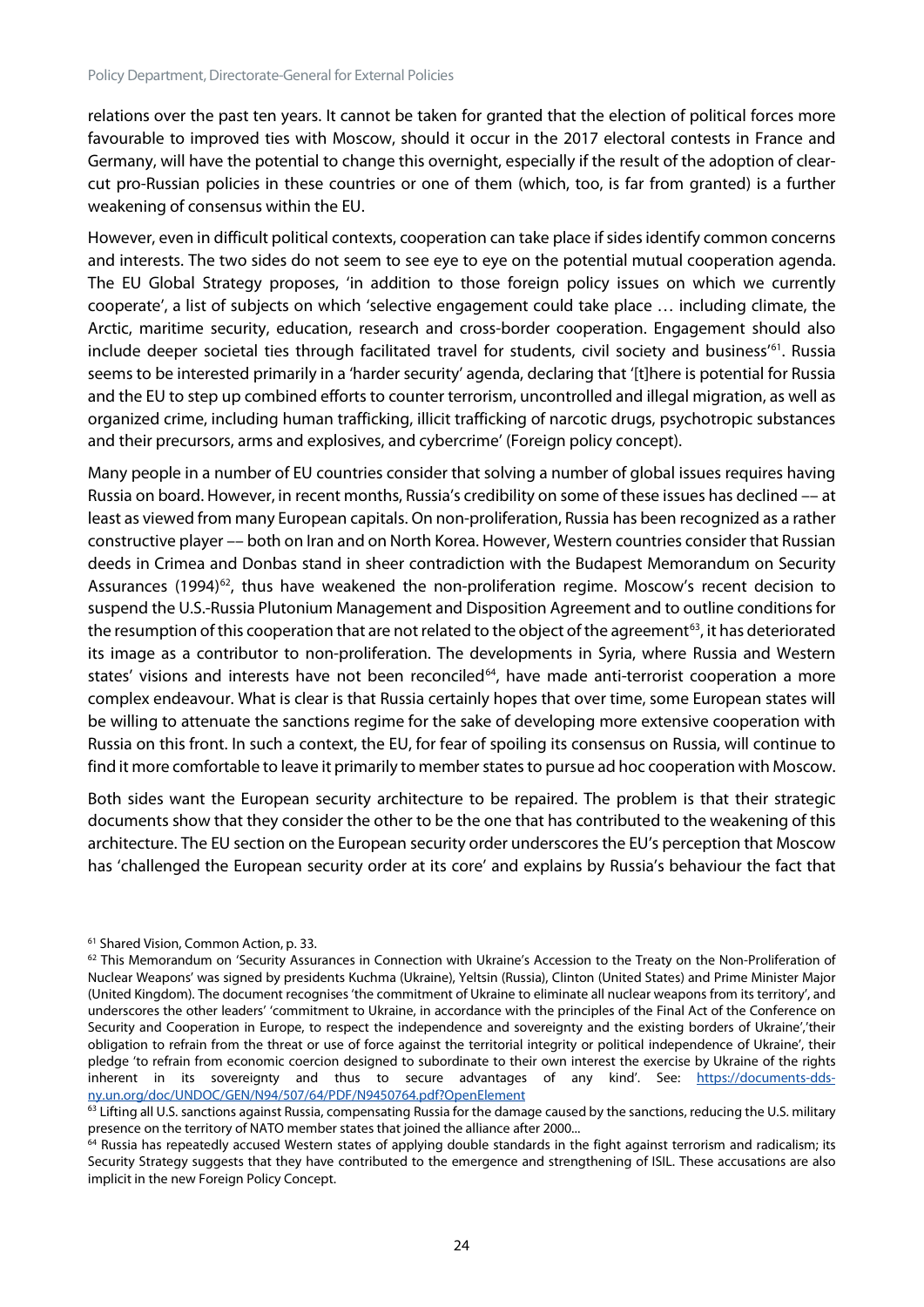relations over the past ten years. It cannot be taken for granted that the election of political forces more favourable to improved ties with Moscow, should it occur in the 2017 electoral contests in France and Germany, will have the potential to change this overnight, especially if the result of the adoption of clearcut pro-Russian policies in these countries or one of them (which, too, is far from granted) is a further weakening of consensus within the EU.

However, even in difficult political contexts, cooperation can take place if sides identify common concerns and interests. The two sides do not seem to see eye to eye on the potential mutual cooperation agenda. The EU Global Strategy proposes, 'in addition to those foreign policy issues on which we currently cooperate', a list of subjects on which 'selective engagement could take place … including climate, the Arctic, maritime security, education, research and cross-border cooperation. Engagement should also include deeper societal ties through facilitated travel for students, civil society and business' [61.](#page-24-0) Russia seems to be interested primarily in a 'harder security' agenda, declaring that '[t]here is potential for Russia and the EU to step up combined efforts to counter terrorism, uncontrolled and illegal migration, as well as organized crime, including human trafficking, illicit trafficking of narcotic drugs, psychotropic substances and their precursors, arms and explosives, and cybercrime' (Foreign policy concept).

Many people in a number of EU countries consider that solving a number of global issues requires having Russia on board. However, in recent months, Russia's credibility on some of these issues has declined –– at least as viewed from many European capitals. On non-proliferation, Russia has been recognized as a rather constructive player –– both on Iran and on North Korea. However, Western countries consider that Russian deeds in Crimea and Donbas stand in sheer contradiction with the Budapest Memorandum on Security Assurances (1994)<sup>62</sup>, thus have weakened the non-proliferation regime. Moscow's recent decision to suspend the U.S.-Russia Plutonium Management and Disposition Agreement and to outline conditions for the resumption of this cooperation that are not related to the object of the agreement<sup>[63](#page-24-2)</sup>, it has deteriorated its image as a contributor to non-proliferation. The developments in Syria, where Russia and Western states' visions and interests have not been reconciled<sup>64</sup>, have made anti-terrorist cooperation a more complex endeavour. What is clear is that Russia certainly hopes that over time, some European states will be willing to attenuate the sanctions regime for the sake of developing more extensive cooperation with Russia on this front. In such a context, the EU, for fear of spoiling its consensus on Russia, will continue to find it more comfortable to leave it primarily to member states to pursue ad hoc cooperation with Moscow.

Both sides want the European security architecture to be repaired. The problem is that their strategic documents show that they consider the other to be the one that has contributed to the weakening of this architecture. The EU section on the European security order underscores the EU's perception that Moscow has 'challenged the European security order at its core' and explains by Russia's behaviour the fact that

<span id="page-24-0"></span><sup>61</sup> Shared Vision, Common Action, p. 33.

<span id="page-24-1"></span><sup>&</sup>lt;sup>62</sup> This Memorandum on 'Security Assurances in Connection with Ukraine's Accession to the Treaty on the Non-Proliferation of Nuclear Weapons' was signed by presidents Kuchma (Ukraine), Yeltsin (Russia), Clinton (United States) and Prime Minister Major (United Kingdom). The document recognises 'the commitment of Ukraine to eliminate all nuclear weapons from its territory', and underscores the other leaders' 'commitment to Ukraine, in accordance with the principles of the Final Act of the Conference on Security and Cooperation in Europe, to respect the independence and sovereignty and the existing borders of Ukraine','their obligation to refrain from the threat or use of force against the territorial integrity or political independence of Ukraine', their pledge 'to refrain from economic coercion designed to subordinate to their own interest the exercise by Ukraine of the rights inherent in its sovereignty and thus to secure advantages of any kind'. See: [https://documents-dds](https://documents-dds-ny.un.org/doc/UNDOC/GEN/N94/507/64/PDF/N9450764.pdf?OpenElement)[ny.un.org/doc/UNDOC/GEN/N94/507/64/PDF/N9450764.pdf?OpenElement](https://documents-dds-ny.un.org/doc/UNDOC/GEN/N94/507/64/PDF/N9450764.pdf?OpenElement)

<span id="page-24-2"></span> $63$  Lifting all U.S. sanctions against Russia, compensating Russia for the damage caused by the sanctions, reducing the U.S. military presence on the territory of NATO member states that joined the alliance after 2000...

<span id="page-24-3"></span><sup>&</sup>lt;sup>64</sup> Russia has repeatedly accused Western states of applying double standards in the fight against terrorism and radicalism; its Security Strategy suggests that they have contributed to the emergence and strengthening of ISIL. These accusations are also implicit in the new Foreign Policy Concept.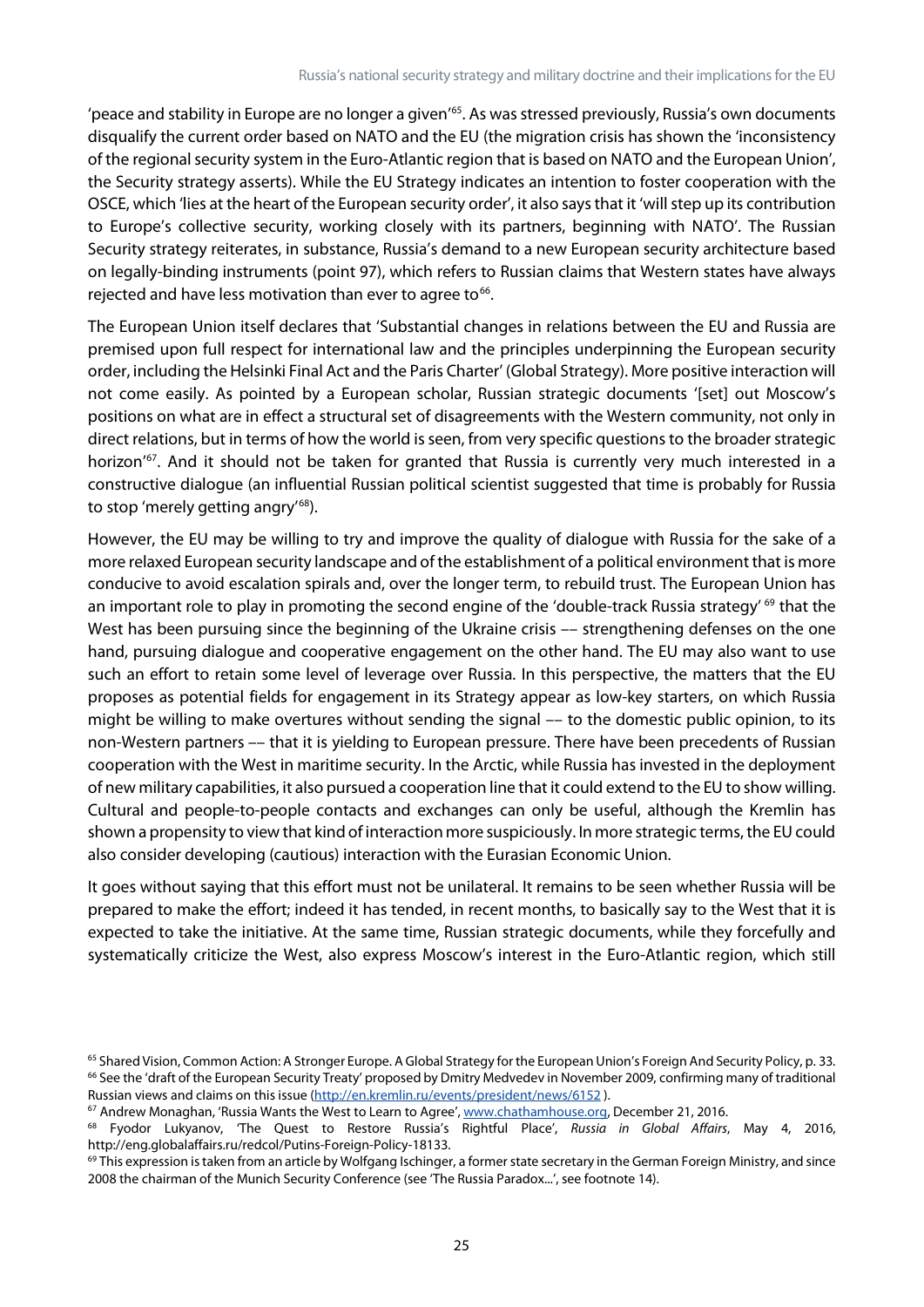'peace and stability in Europe are no longer a given'<sup>65</sup>. As was stressed previously, Russia's own documents disqualify the current order based on NATO and the EU (the migration crisis has shown the 'inconsistency of the regional security system in the Euro-Atlantic region that is based on NATO and the European Union', the Security strategy asserts). While the EU Strategy indicates an intention to foster cooperation with the OSCE, which 'lies at the heart of the European security order', it also says that it 'will step up its contribution to Europe's collective security, working closely with its partners, beginning with NATO'. The Russian Security strategy reiterates, in substance, Russia's demand to a new European security architecture based on legally-binding instruments (point 97), which refers to Russian claims that Western states have always rejected and have less motivation than ever to agree to $66$ .

The European Union itself declares that 'Substantial changes in relations between the EU and Russia are premised upon full respect for international law and the principles underpinning the European security order, including the Helsinki Final Act and the Paris Charter' (Global Strategy). More positive interaction will not come easily. As pointed by a European scholar, Russian strategic documents '[set] out Moscow's positions on what are in effect a structural set of disagreements with the Western community, not only in direct relations, but in terms of how the world is seen, from very specific questions to the broader strategic horizon'<sup>[67](#page-25-2)</sup>. And it should not be taken for granted that Russia is currently very much interested in a constructive dialogue (an influential Russian political scientist suggested that time is probably for Russia to stop 'merely getting angry'<sup>[68](#page-25-3)</sup>).

However, the EU may be willing to try and improve the quality of dialogue with Russia for the sake of a more relaxed European security landscape and of the establishment of a political environment that is more conducive to avoid escalation spirals and, over the longer term, to rebuild trust. The European Union has an important role to play in promoting the second engine of the 'double-track Russia strategy' <sup>[69](#page-25-4)</sup> that the West has been pursuing since the beginning of the Ukraine crisis -- strengthening defenses on the one hand, pursuing dialogue and cooperative engagement on the other hand. The EU may also want to use such an effort to retain some level of leverage over Russia. In this perspective, the matters that the EU proposes as potential fields for engagement in its Strategy appear as low-key starters, on which Russia might be willing to make overtures without sending the signal –– to the domestic public opinion, to its non-Western partners –– that it is yielding to European pressure. There have been precedents of Russian cooperation with the West in maritime security. In the Arctic, while Russia has invested in the deployment of new military capabilities, it also pursued a cooperation line that it could extend to the EU to show willing. Cultural and people-to-people contacts and exchanges can only be useful, although the Kremlin has shown a propensity to view that kind of interaction more suspiciously. In more strategic terms, the EU could also consider developing (cautious) interaction with the Eurasian Economic Union.

It goes without saying that this effort must not be unilateral. It remains to be seen whether Russia will be prepared to make the effort; indeed it has tended, in recent months, to basically say to the West that it is expected to take the initiative. At the same time, Russian strategic documents, while they forcefully and systematically criticize the West, also express Moscow's interest in the Euro-Atlantic region, which still

<span id="page-25-0"></span><sup>&</sup>lt;sup>65</sup> Shared Vision, Common Action: A Stronger Europe. A Global Strategy for the European Union's Foreign And Security Policy, p. 33. <sup>66</sup> See the 'draft of the European Security Treaty' proposed by Dmitry Medvedev in November 2009, confirming many of traditional

<span id="page-25-1"></span>Russian views and claims on this issue (http://en.kremlin.ru/events/president/news/6152[\)](http://en.kremlin.ru/events/president/news/6152).<br><sup>67</sup> Andrew Monaghan, 'Russia Wants the West to Learn to Agree'[, www.chathamhouse.org,](http://www.chathamhouse.org/) December 21, 2016.

<span id="page-25-3"></span><span id="page-25-2"></span><sup>68</sup> Fyodor Lukyanov, 'The Quest to Restore Russia's Rightful Place', *Russia in Global Affairs*, May 4, 2016, http://eng.globalaffairs.ru/redcol/Putins-Foreign-Policy-18133.

<span id="page-25-4"></span><sup>&</sup>lt;sup>69</sup> This expression is taken from an article by Wolfgang Ischinger, a former state secretary in the German Foreign Ministry, and since 2008 the chairman of the Munich Security Conference (see 'The Russia Paradox...', see footnote 14).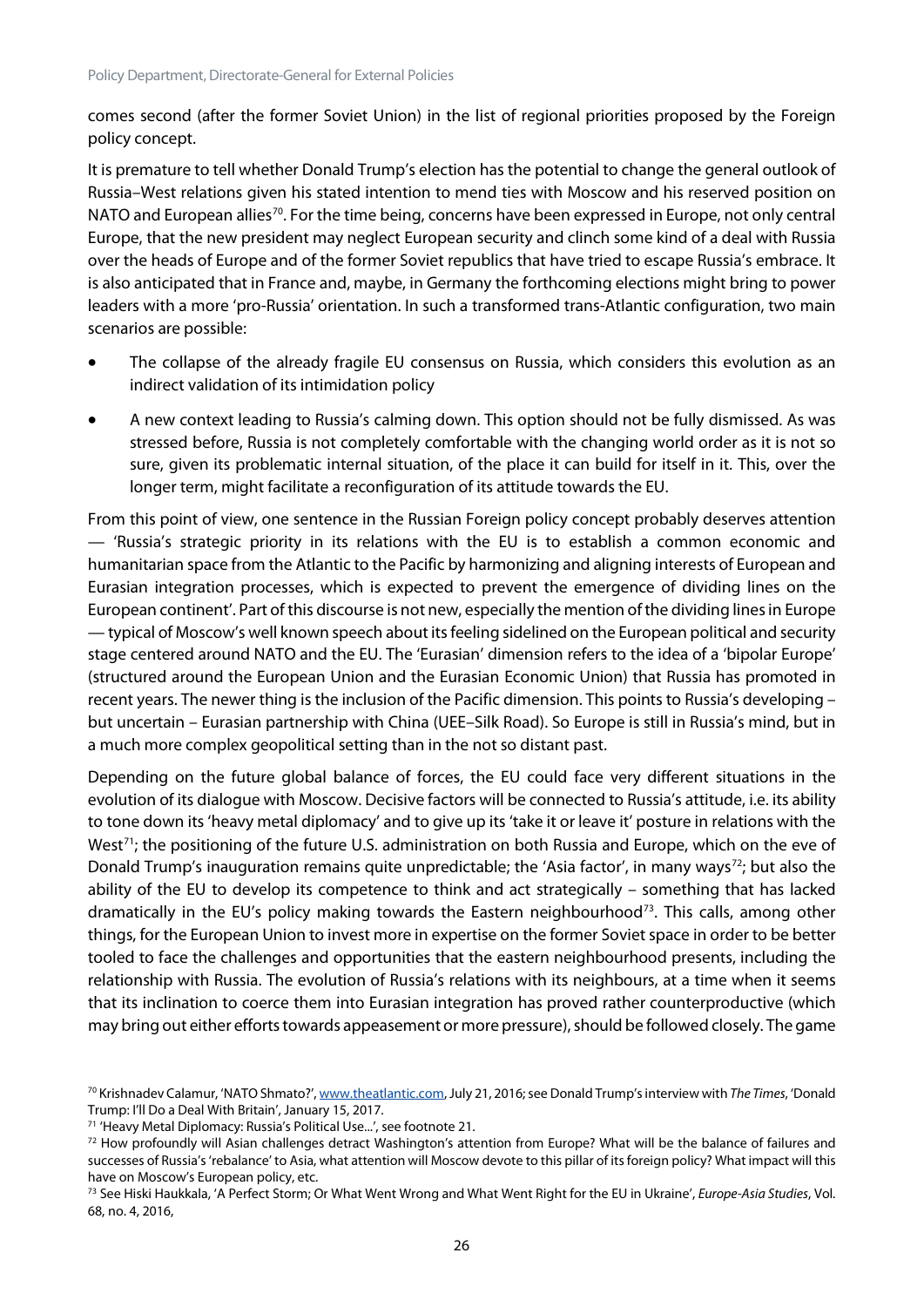comes second (after the former Soviet Union) in the list of regional priorities proposed by the Foreign policy concept.

It is premature to tell whether Donald Trump's election has the potential to change the general outlook of Russia–West relations given his stated intention to mend ties with Moscow and his reserved position on NATO and European allies<sup>[70](#page-26-0)</sup>. For the time being, concerns have been expressed in Europe, not only central Europe, that the new president may neglect European security and clinch some kind of a deal with Russia over the heads of Europe and of the former Soviet republics that have tried to escape Russia's embrace. It is also anticipated that in France and, maybe, in Germany the forthcoming elections might bring to power leaders with a more 'pro-Russia' orientation. In such a transformed trans-Atlantic configuration, two main scenarios are possible:

- The collapse of the already fragile EU consensus on Russia, which considers this evolution as an indirect validation of its intimidation policy
- A new context leading to Russia's calming down. This option should not be fully dismissed. As was stressed before, Russia is not completely comfortable with the changing world order as it is not so sure, given its problematic internal situation, of the place it can build for itself in it. This, over the longer term, might facilitate a reconfiguration of its attitude towards the EU.

From this point of view, one sentence in the Russian Foreign policy concept probably deserves attention — 'Russia's strategic priority in its relations with the EU is to establish a common economic and humanitarian space from the Atlantic to the Pacific by harmonizing and aligning interests of European and Eurasian integration processes, which is expected to prevent the emergence of dividing lines on the European continent'. Part of this discourse is not new, especially the mention of the dividing lines in Europe — typical of Moscow's well known speech about its feeling sidelined on the European political and security stage centered around NATO and the EU. The 'Eurasian' dimension refers to the idea of a 'bipolar Europe' (structured around the European Union and the Eurasian Economic Union) that Russia has promoted in recent years. The newer thing is the inclusion of the Pacific dimension. This points to Russia's developing – but uncertain – Eurasian partnership with China (UEE–Silk Road). So Europe is still in Russia's mind, but in a much more complex geopolitical setting than in the not so distant past.

Depending on the future global balance of forces, the EU could face very different situations in the evolution of its dialogue with Moscow. Decisive factors will be connected to Russia's attitude, i.e. its ability to tone down its 'heavy metal diplomacy' and to give up its 'take it or leave it' posture in relations with the West<sup>71</sup>; the positioning of the future U.S. administration on both Russia and Europe, which on the eve of Donald Trump's inauguration remains quite unpredictable; the 'Asia factor', in many ways<sup>[72](#page-26-2)</sup>; but also the ability of the EU to develop its competence to think and act strategically – something that has lacked dramatically in the EU's policy making towards the Eastern neighbourhood<sup>73</sup>. This calls, among other things, for the European Union to invest more in expertise on the former Soviet space in order to be better tooled to face the challenges and opportunities that the eastern neighbourhood presents, including the relationship with Russia. The evolution of Russia's relations with its neighbours, at a time when it seems that its inclination to coerce them into Eurasian integration has proved rather counterproductive (which may bring out either efforts towards appeasement or more pressure), should be followed closely. The game

<span id="page-26-0"></span><sup>70</sup> Krishnadev Calamur, 'NATO Shmato?'[, www.theatlantic.com,](http://www.theatlantic.com/) July 21, 2016; see Donald Trump's interview with *The Times*, 'Donald Trump: I'll Do a Deal With Britain', January 15, 2017.

<span id="page-26-1"></span><sup>71</sup> 'Heavy Metal Diplomacy: Russia's Political Use...', see footnote 21.

<span id="page-26-2"></span><sup>72</sup> How profoundly will Asian challenges detract Washington's attention from Europe? What will be the balance of failures and successes of Russia's 'rebalance' to Asia, what attention will Moscow devote to this pillar of its foreign policy? What impact will this have on Moscow's European policy, etc.

<span id="page-26-3"></span><sup>73</sup> See Hiski Haukkala, 'A Perfect Storm; Or What Went Wrong and What Went Right for the EU in Ukraine', *Europe-Asia Studies*, Vol. 68, no. 4, 2016,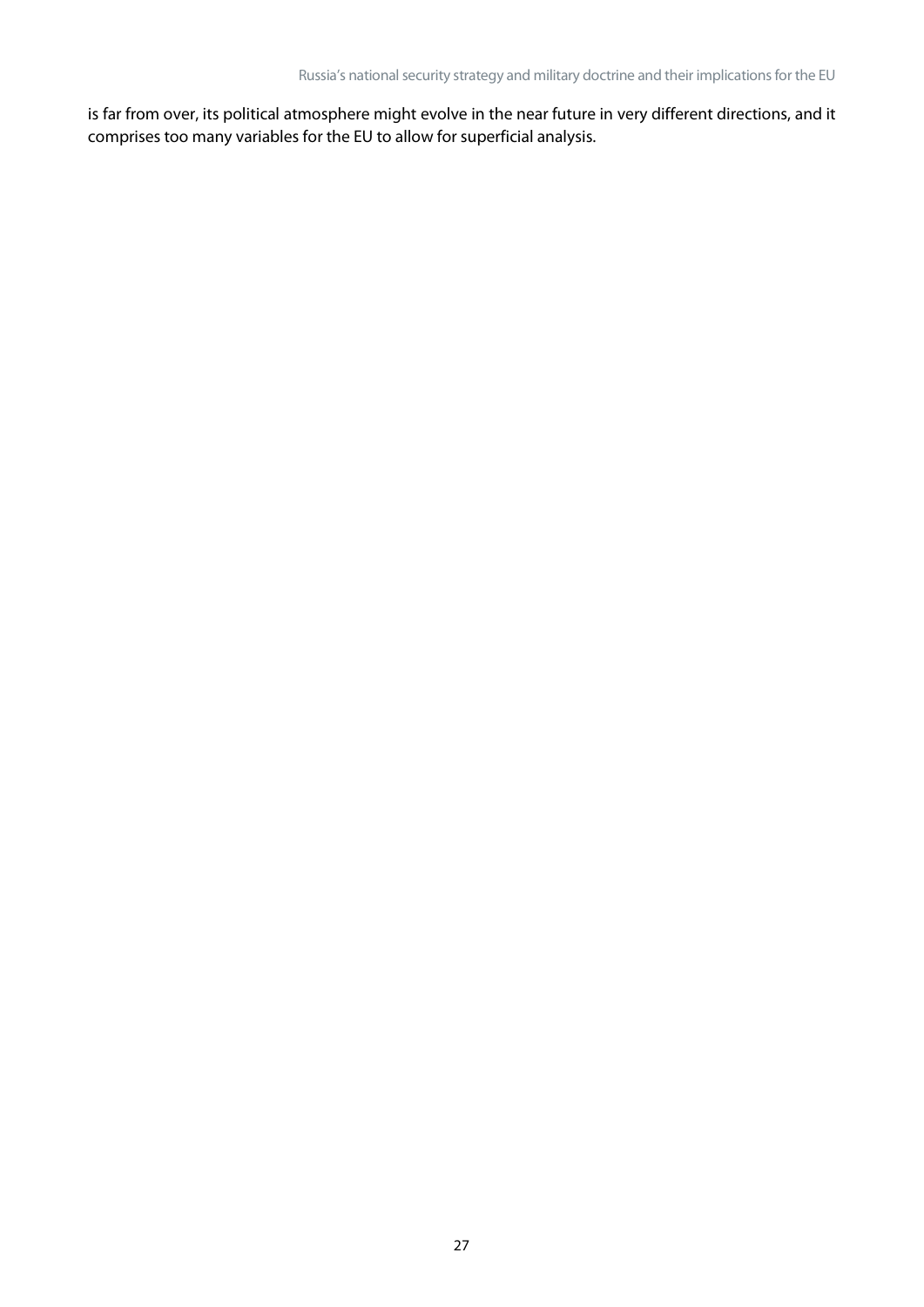is far from over, its political atmosphere might evolve in the near future in very different directions, and it comprises too many variables for the EU to allow for superficial analysis.